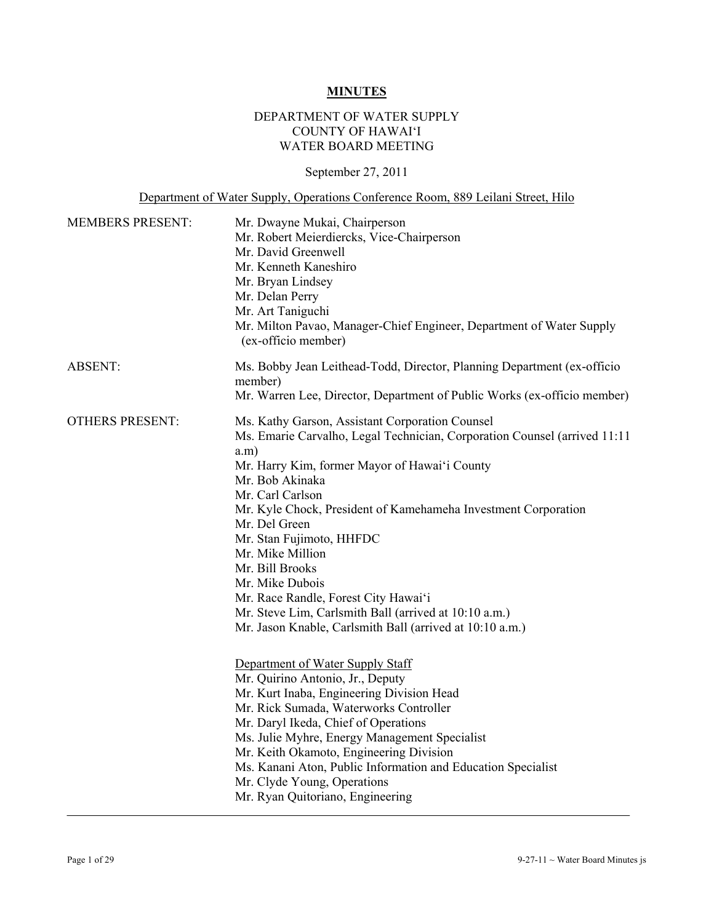## **MINUTES**

## DEPARTMENT OF WATER SUPPLY COUNTY OF HAWAI'I WATER BOARD MEETING

# September 27, 2011

# Department of Water Supply, Operations Conference Room, 889 Leilani Street, Hilo

| <b>MEMBERS PRESENT:</b> | Mr. Dwayne Mukai, Chairperson<br>Mr. Robert Meierdiercks, Vice-Chairperson<br>Mr. David Greenwell<br>Mr. Kenneth Kaneshiro<br>Mr. Bryan Lindsey<br>Mr. Delan Perry<br>Mr. Art Taniguchi<br>Mr. Milton Pavao, Manager-Chief Engineer, Department of Water Supply<br>(ex-officio member)                                                                                                                                                                                                                                                                                                                                                                                                                                                                                                                                                                                                                                                                                                                   |  |
|-------------------------|----------------------------------------------------------------------------------------------------------------------------------------------------------------------------------------------------------------------------------------------------------------------------------------------------------------------------------------------------------------------------------------------------------------------------------------------------------------------------------------------------------------------------------------------------------------------------------------------------------------------------------------------------------------------------------------------------------------------------------------------------------------------------------------------------------------------------------------------------------------------------------------------------------------------------------------------------------------------------------------------------------|--|
| <b>ABSENT:</b>          | Ms. Bobby Jean Leithead-Todd, Director, Planning Department (ex-officio<br>member)<br>Mr. Warren Lee, Director, Department of Public Works (ex-officio member)                                                                                                                                                                                                                                                                                                                                                                                                                                                                                                                                                                                                                                                                                                                                                                                                                                           |  |
| <b>OTHERS PRESENT:</b>  | Ms. Kathy Garson, Assistant Corporation Counsel<br>Ms. Emarie Carvalho, Legal Technician, Corporation Counsel (arrived 11:11<br>a.m)<br>Mr. Harry Kim, former Mayor of Hawai'i County<br>Mr. Bob Akinaka<br>Mr. Carl Carlson<br>Mr. Kyle Chock, President of Kamehameha Investment Corporation<br>Mr. Del Green<br>Mr. Stan Fujimoto, HHFDC<br>Mr. Mike Million<br>Mr. Bill Brooks<br>Mr. Mike Dubois<br>Mr. Race Randle, Forest City Hawai'i<br>Mr. Steve Lim, Carlsmith Ball (arrived at 10:10 a.m.)<br>Mr. Jason Knable, Carlsmith Ball (arrived at 10:10 a.m.)<br>Department of Water Supply Staff<br>Mr. Quirino Antonio, Jr., Deputy<br>Mr. Kurt Inaba, Engineering Division Head<br>Mr. Rick Sumada, Waterworks Controller<br>Mr. Daryl Ikeda, Chief of Operations<br>Ms. Julie Myhre, Energy Management Specialist<br>Mr. Keith Okamoto, Engineering Division<br>Ms. Kanani Aton, Public Information and Education Specialist<br>Mr. Clyde Young, Operations<br>Mr. Ryan Quitoriano, Engineering |  |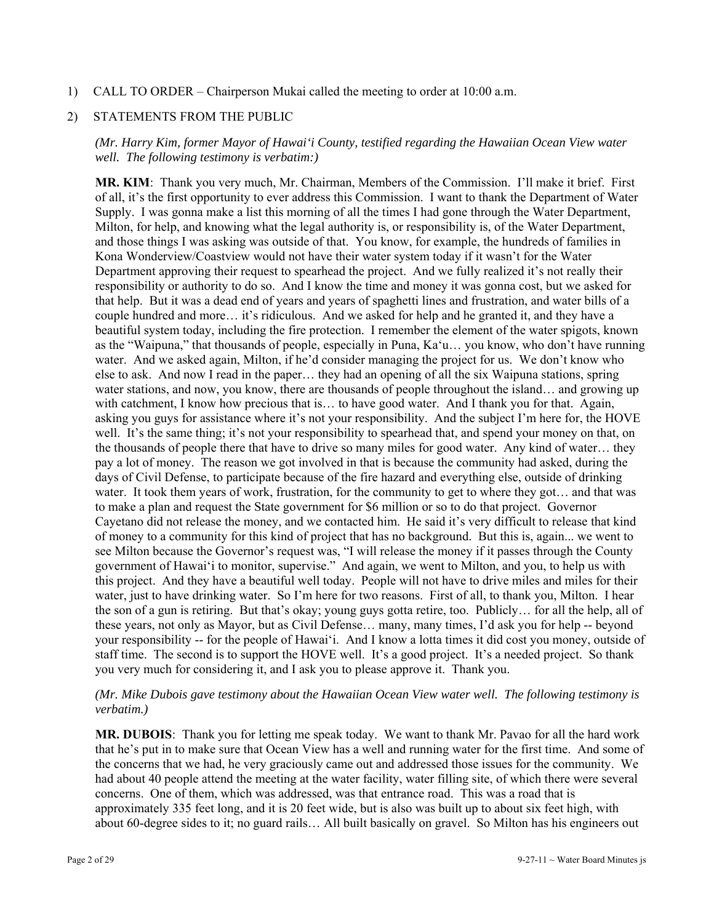1) CALL TO ORDER – Chairperson Mukai called the meeting to order at 10:00 a.m.

### 2) STATEMENTS FROM THE PUBLIC

*(Mr. Harry Kim, former Mayor of Hawai'i County, testified regarding the Hawaiian Ocean View water well. The following testimony is verbatim:)* 

**MR. KIM**: Thank you very much, Mr. Chairman, Members of the Commission. I'll make it brief. First of all, it's the first opportunity to ever address this Commission. I want to thank the Department of Water Supply. I was gonna make a list this morning of all the times I had gone through the Water Department, Milton, for help, and knowing what the legal authority is, or responsibility is, of the Water Department, and those things I was asking was outside of that. You know, for example, the hundreds of families in Kona Wonderview/Coastview would not have their water system today if it wasn't for the Water Department approving their request to spearhead the project. And we fully realized it's not really their responsibility or authority to do so. And I know the time and money it was gonna cost, but we asked for that help. But it was a dead end of years and years of spaghetti lines and frustration, and water bills of a couple hundred and more… it's ridiculous. And we asked for help and he granted it, and they have a beautiful system today, including the fire protection. I remember the element of the water spigots, known as the "Waipuna," that thousands of people, especially in Puna, Ka'u… you know, who don't have running water. And we asked again, Milton, if he'd consider managing the project for us. We don't know who else to ask. And now I read in the paper… they had an opening of all the six Waipuna stations, spring water stations, and now, you know, there are thousands of people throughout the island… and growing up with catchment, I know how precious that is... to have good water. And I thank you for that. Again, asking you guys for assistance where it's not your responsibility. And the subject I'm here for, the HOVE well. It's the same thing; it's not your responsibility to spearhead that, and spend your money on that, on the thousands of people there that have to drive so many miles for good water. Any kind of water… they pay a lot of money. The reason we got involved in that is because the community had asked, during the days of Civil Defense, to participate because of the fire hazard and everything else, outside of drinking water. It took them years of work, frustration, for the community to get to where they got… and that was to make a plan and request the State government for \$6 million or so to do that project. Governor Cayetano did not release the money, and we contacted him. He said it's very difficult to release that kind of money to a community for this kind of project that has no background. But this is, again... we went to see Milton because the Governor's request was, "I will release the money if it passes through the County government of Hawai'i to monitor, supervise." And again, we went to Milton, and you, to help us with this project. And they have a beautiful well today. People will not have to drive miles and miles for their water, just to have drinking water. So I'm here for two reasons. First of all, to thank you, Milton. I hear the son of a gun is retiring. But that's okay; young guys gotta retire, too. Publicly… for all the help, all of these years, not only as Mayor, but as Civil Defense… many, many times, I'd ask you for help -- beyond your responsibility -- for the people of Hawai'i. And I know a lotta times it did cost you money, outside of staff time. The second is to support the HOVE well. It's a good project. It's a needed project. So thank you very much for considering it, and I ask you to please approve it. Thank you.

### *(Mr. Mike Dubois gave testimony about the Hawaiian Ocean View water well. The following testimony is verbatim.)*

**MR. DUBOIS**: Thank you for letting me speak today. We want to thank Mr. Pavao for all the hard work that he's put in to make sure that Ocean View has a well and running water for the first time. And some of the concerns that we had, he very graciously came out and addressed those issues for the community. We had about 40 people attend the meeting at the water facility, water filling site, of which there were several concerns. One of them, which was addressed, was that entrance road. This was a road that is approximately 335 feet long, and it is 20 feet wide, but is also was built up to about six feet high, with about 60-degree sides to it; no guard rails… All built basically on gravel. So Milton has his engineers out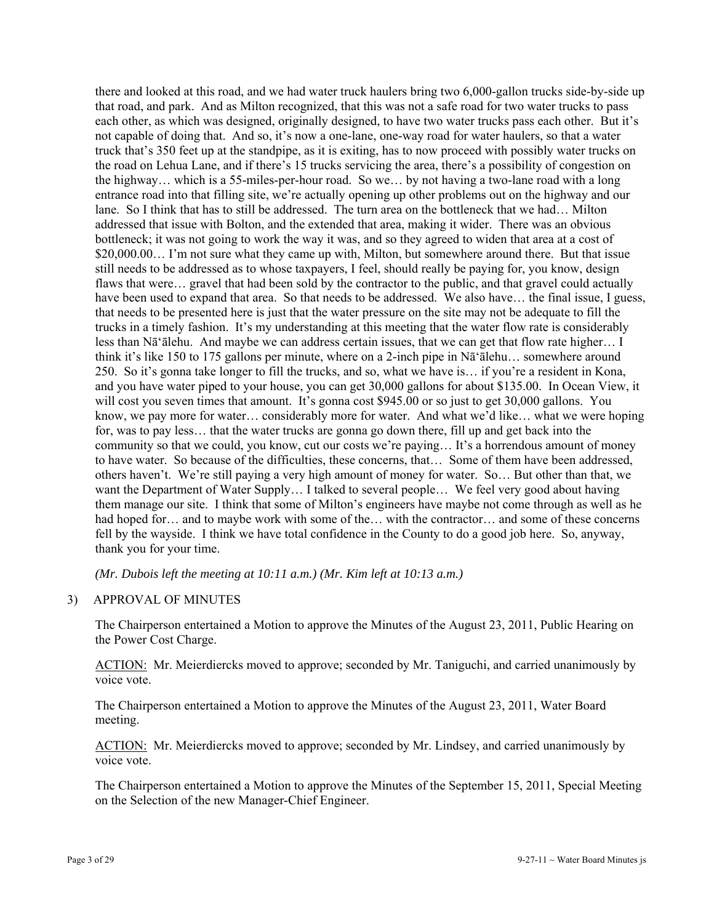there and looked at this road, and we had water truck haulers bring two 6,000-gallon trucks side-by-side up that road, and park. And as Milton recognized, that this was not a safe road for two water trucks to pass each other, as which was designed, originally designed, to have two water trucks pass each other. But it's not capable of doing that. And so, it's now a one-lane, one-way road for water haulers, so that a water truck that's 350 feet up at the standpipe, as it is exiting, has to now proceed with possibly water trucks on the road on Lehua Lane, and if there's 15 trucks servicing the area, there's a possibility of congestion on the highway… which is a 55-miles-per-hour road. So we… by not having a two-lane road with a long entrance road into that filling site, we're actually opening up other problems out on the highway and our lane. So I think that has to still be addressed. The turn area on the bottleneck that we had… Milton addressed that issue with Bolton, and the extended that area, making it wider. There was an obvious bottleneck; it was not going to work the way it was, and so they agreed to widen that area at a cost of \$20,000.00... I'm not sure what they came up with, Milton, but somewhere around there. But that issue still needs to be addressed as to whose taxpayers, I feel, should really be paying for, you know, design flaws that were… gravel that had been sold by the contractor to the public, and that gravel could actually have been used to expand that area. So that needs to be addressed. We also have... the final issue, I guess, that needs to be presented here is just that the water pressure on the site may not be adequate to fill the trucks in a timely fashion. It's my understanding at this meeting that the water flow rate is considerably less than Nā'ālehu. And maybe we can address certain issues, that we can get that flow rate higher… I think it's like 150 to 175 gallons per minute, where on a 2-inch pipe in Nā'ālehu… somewhere around 250. So it's gonna take longer to fill the trucks, and so, what we have is… if you're a resident in Kona, and you have water piped to your house, you can get 30,000 gallons for about \$135.00. In Ocean View, it will cost you seven times that amount. It's gonna cost \$945.00 or so just to get 30,000 gallons. You know, we pay more for water… considerably more for water. And what we'd like… what we were hoping for, was to pay less… that the water trucks are gonna go down there, fill up and get back into the community so that we could, you know, cut our costs we're paying… It's a horrendous amount of money to have water. So because of the difficulties, these concerns, that… Some of them have been addressed, others haven't. We're still paying a very high amount of money for water. So… But other than that, we want the Department of Water Supply… I talked to several people… We feel very good about having them manage our site. I think that some of Milton's engineers have maybe not come through as well as he had hoped for… and to maybe work with some of the… with the contractor… and some of these concerns fell by the wayside. I think we have total confidence in the County to do a good job here. So, anyway, thank you for your time.

*(Mr. Dubois left the meeting at 10:11 a.m.) (Mr. Kim left at 10:13 a.m.)* 

### 3) APPROVAL OF MINUTES

The Chairperson entertained a Motion to approve the Minutes of the August 23, 2011, Public Hearing on the Power Cost Charge.

ACTION: Mr. Meierdiercks moved to approve; seconded by Mr. Taniguchi, and carried unanimously by voice vote.

The Chairperson entertained a Motion to approve the Minutes of the August 23, 2011, Water Board meeting.

ACTION: Mr. Meierdiercks moved to approve; seconded by Mr. Lindsey, and carried unanimously by voice vote.

The Chairperson entertained a Motion to approve the Minutes of the September 15, 2011, Special Meeting on the Selection of the new Manager-Chief Engineer.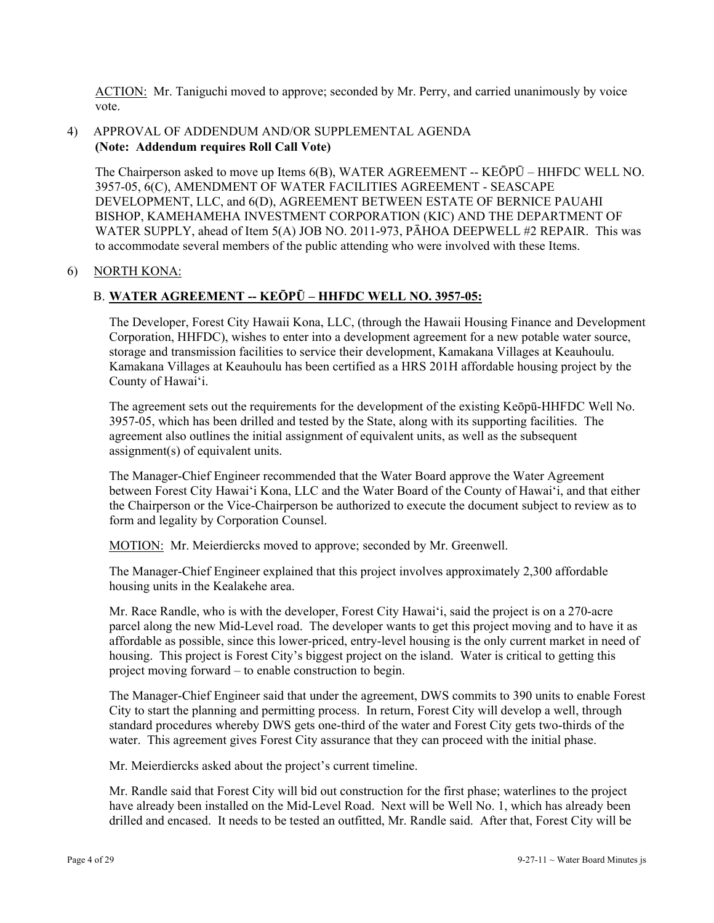ACTION: Mr. Taniguchi moved to approve; seconded by Mr. Perry, and carried unanimously by voice vote.

### 4) APPROVAL OF ADDENDUM AND/OR SUPPLEMENTAL AGENDA **(Note: Addendum requires Roll Call Vote)**

The Chairperson asked to move up Items 6(B), WATER AGREEMENT -- KEŌPŪ – HHFDC WELL NO. 3957-05, 6(C), AMENDMENT OF WATER FACILITIES AGREEMENT - SEASCAPE DEVELOPMENT, LLC, and 6(D), AGREEMENT BETWEEN ESTATE OF BERNICE PAUAHI BISHOP, KAMEHAMEHA INVESTMENT CORPORATION (KIC) AND THE DEPARTMENT OF WATER SUPPLY, ahead of Item 5(A) JOB NO. 2011-973, PĀHOA DEEPWELL #2 REPAIR. This was to accommodate several members of the public attending who were involved with these Items.

### 6) NORTH KONA:

### B. **WATER AGREEMENT -- KEŌPŪ – HHFDC WELL NO. 3957-05:**

The Developer, Forest City Hawaii Kona, LLC, (through the Hawaii Housing Finance and Development Corporation, HHFDC), wishes to enter into a development agreement for a new potable water source, storage and transmission facilities to service their development, Kamakana Villages at Keauhoulu. Kamakana Villages at Keauhoulu has been certified as a HRS 201H affordable housing project by the County of Hawai'i.

The agreement sets out the requirements for the development of the existing Keōpū-HHFDC Well No. 3957-05, which has been drilled and tested by the State, along with its supporting facilities. The agreement also outlines the initial assignment of equivalent units, as well as the subsequent assignment(s) of equivalent units.

The Manager-Chief Engineer recommended that the Water Board approve the Water Agreement between Forest City Hawai'i Kona, LLC and the Water Board of the County of Hawai'i, and that either the Chairperson or the Vice-Chairperson be authorized to execute the document subject to review as to form and legality by Corporation Counsel.

MOTION: Mr. Meierdiercks moved to approve; seconded by Mr. Greenwell.

The Manager-Chief Engineer explained that this project involves approximately 2,300 affordable housing units in the Kealakehe area.

Mr. Race Randle, who is with the developer, Forest City Hawai'i, said the project is on a 270-acre parcel along the new Mid-Level road. The developer wants to get this project moving and to have it as affordable as possible, since this lower-priced, entry-level housing is the only current market in need of housing. This project is Forest City's biggest project on the island. Water is critical to getting this project moving forward – to enable construction to begin.

The Manager-Chief Engineer said that under the agreement, DWS commits to 390 units to enable Forest City to start the planning and permitting process. In return, Forest City will develop a well, through standard procedures whereby DWS gets one-third of the water and Forest City gets two-thirds of the water. This agreement gives Forest City assurance that they can proceed with the initial phase.

Mr. Meierdiercks asked about the project's current timeline.

Mr. Randle said that Forest City will bid out construction for the first phase; waterlines to the project have already been installed on the Mid-Level Road. Next will be Well No. 1, which has already been drilled and encased. It needs to be tested an outfitted, Mr. Randle said. After that, Forest City will be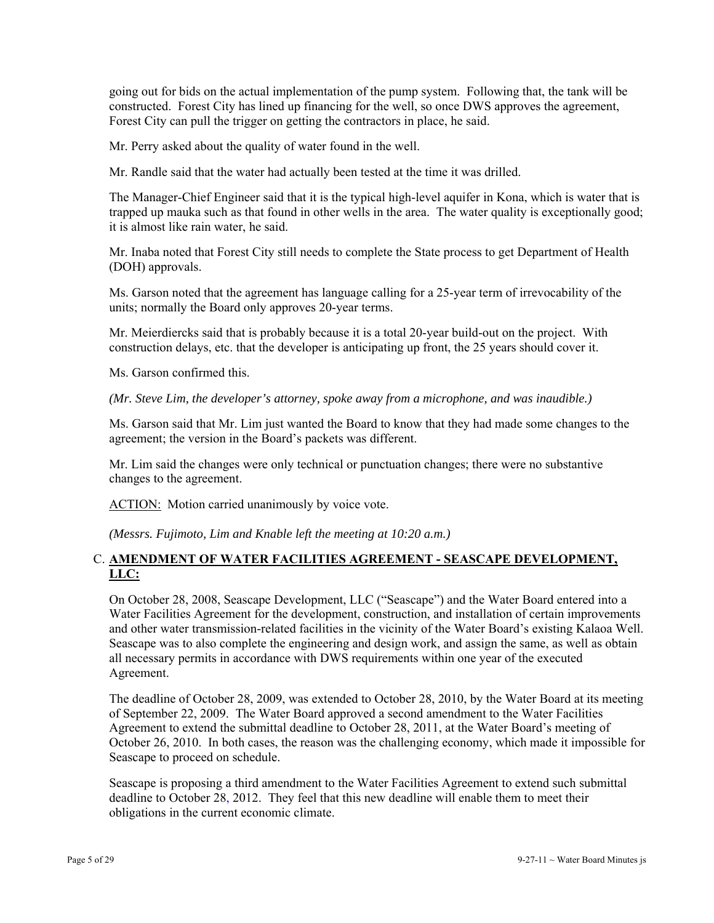going out for bids on the actual implementation of the pump system. Following that, the tank will be constructed. Forest City has lined up financing for the well, so once DWS approves the agreement, Forest City can pull the trigger on getting the contractors in place, he said.

Mr. Perry asked about the quality of water found in the well.

Mr. Randle said that the water had actually been tested at the time it was drilled.

The Manager-Chief Engineer said that it is the typical high-level aquifer in Kona, which is water that is trapped up mauka such as that found in other wells in the area. The water quality is exceptionally good; it is almost like rain water, he said.

Mr. Inaba noted that Forest City still needs to complete the State process to get Department of Health (DOH) approvals.

Ms. Garson noted that the agreement has language calling for a 25-year term of irrevocability of the units; normally the Board only approves 20-year terms.

Mr. Meierdiercks said that is probably because it is a total 20-year build-out on the project. With construction delays, etc. that the developer is anticipating up front, the 25 years should cover it.

Ms. Garson confirmed this.

*(Mr. Steve Lim, the developer's attorney, spoke away from a microphone, and was inaudible.)* 

Ms. Garson said that Mr. Lim just wanted the Board to know that they had made some changes to the agreement; the version in the Board's packets was different.

Mr. Lim said the changes were only technical or punctuation changes; there were no substantive changes to the agreement.

ACTION: Motion carried unanimously by voice vote.

*(Messrs. Fujimoto, Lim and Knable left the meeting at 10:20 a.m.)* 

## C. **AMENDMENT OF WATER FACILITIES AGREEMENT - SEASCAPE DEVELOPMENT, LLC:**

On October 28, 2008, Seascape Development, LLC ("Seascape") and the Water Board entered into a Water Facilities Agreement for the development, construction, and installation of certain improvements and other water transmission-related facilities in the vicinity of the Water Board's existing Kalaoa Well. Seascape was to also complete the engineering and design work, and assign the same, as well as obtain all necessary permits in accordance with DWS requirements within one year of the executed Agreement.

The deadline of October 28, 2009, was extended to October 28, 2010, by the Water Board at its meeting of September 22, 2009. The Water Board approved a second amendment to the Water Facilities Agreement to extend the submittal deadline to October 28, 2011, at the Water Board's meeting of October 26, 2010. In both cases, the reason was the challenging economy, which made it impossible for Seascape to proceed on schedule.

Seascape is proposing a third amendment to the Water Facilities Agreement to extend such submittal deadline to October 28, 2012. They feel that this new deadline will enable them to meet their obligations in the current economic climate.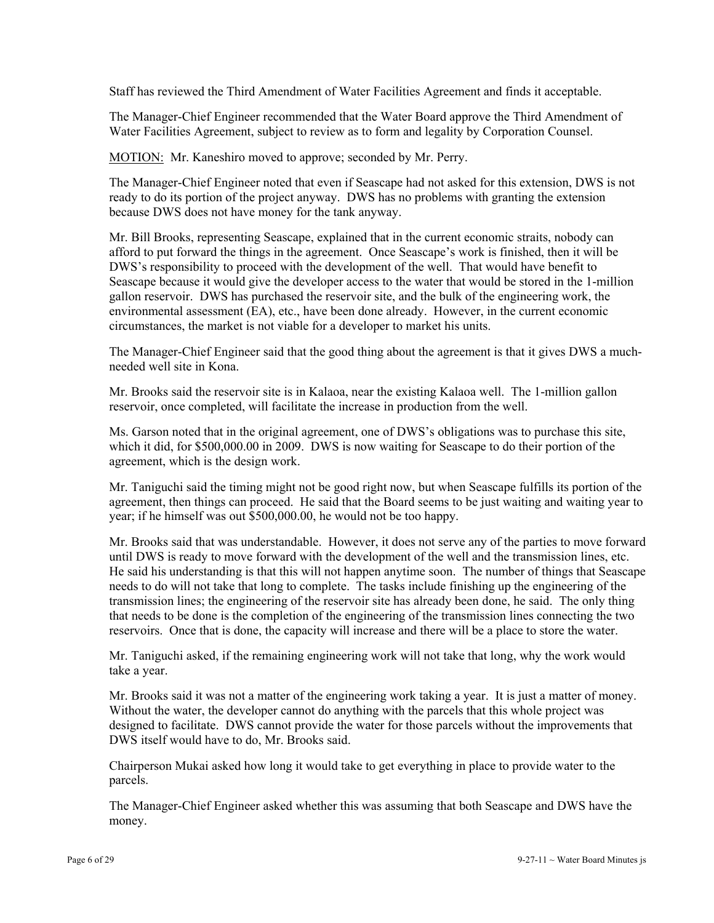Staff has reviewed the Third Amendment of Water Facilities Agreement and finds it acceptable.

The Manager-Chief Engineer recommended that the Water Board approve the Third Amendment of Water Facilities Agreement, subject to review as to form and legality by Corporation Counsel.

MOTION: Mr. Kaneshiro moved to approve; seconded by Mr. Perry.

The Manager-Chief Engineer noted that even if Seascape had not asked for this extension, DWS is not ready to do its portion of the project anyway. DWS has no problems with granting the extension because DWS does not have money for the tank anyway.

Mr. Bill Brooks, representing Seascape, explained that in the current economic straits, nobody can afford to put forward the things in the agreement. Once Seascape's work is finished, then it will be DWS's responsibility to proceed with the development of the well. That would have benefit to Seascape because it would give the developer access to the water that would be stored in the 1-million gallon reservoir. DWS has purchased the reservoir site, and the bulk of the engineering work, the environmental assessment (EA), etc., have been done already. However, in the current economic circumstances, the market is not viable for a developer to market his units.

The Manager-Chief Engineer said that the good thing about the agreement is that it gives DWS a muchneeded well site in Kona.

Mr. Brooks said the reservoir site is in Kalaoa, near the existing Kalaoa well. The 1-million gallon reservoir, once completed, will facilitate the increase in production from the well.

Ms. Garson noted that in the original agreement, one of DWS's obligations was to purchase this site, which it did, for \$500,000.00 in 2009. DWS is now waiting for Seascape to do their portion of the agreement, which is the design work.

Mr. Taniguchi said the timing might not be good right now, but when Seascape fulfills its portion of the agreement, then things can proceed. He said that the Board seems to be just waiting and waiting year to year; if he himself was out \$500,000.00, he would not be too happy.

Mr. Brooks said that was understandable. However, it does not serve any of the parties to move forward until DWS is ready to move forward with the development of the well and the transmission lines, etc. He said his understanding is that this will not happen anytime soon. The number of things that Seascape needs to do will not take that long to complete. The tasks include finishing up the engineering of the transmission lines; the engineering of the reservoir site has already been done, he said. The only thing that needs to be done is the completion of the engineering of the transmission lines connecting the two reservoirs. Once that is done, the capacity will increase and there will be a place to store the water.

Mr. Taniguchi asked, if the remaining engineering work will not take that long, why the work would take a year.

Mr. Brooks said it was not a matter of the engineering work taking a year. It is just a matter of money. Without the water, the developer cannot do anything with the parcels that this whole project was designed to facilitate. DWS cannot provide the water for those parcels without the improvements that DWS itself would have to do, Mr. Brooks said.

Chairperson Mukai asked how long it would take to get everything in place to provide water to the parcels.

The Manager-Chief Engineer asked whether this was assuming that both Seascape and DWS have the money.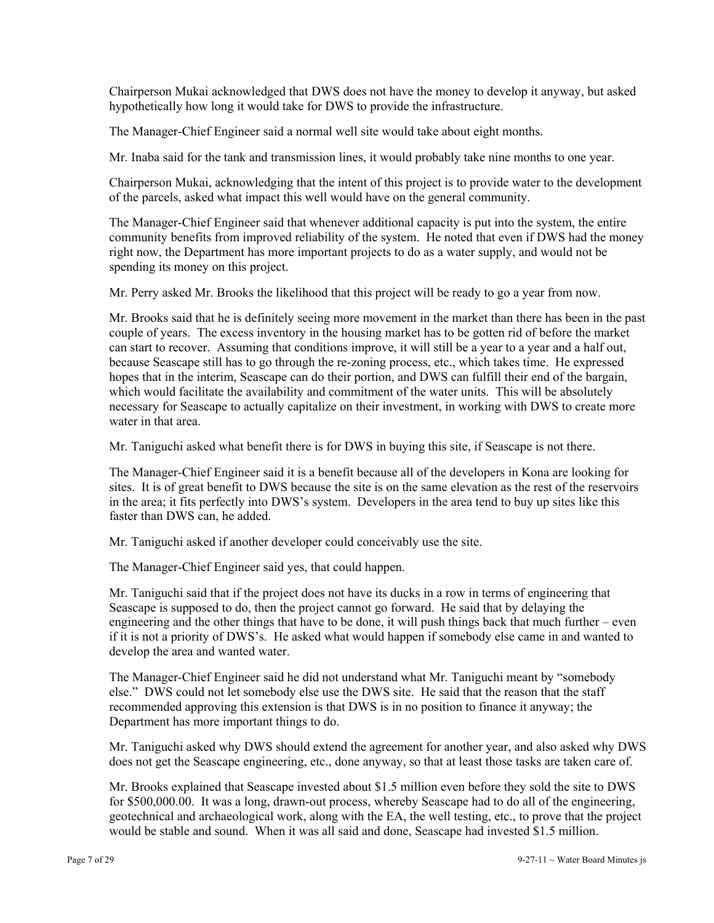Chairperson Mukai acknowledged that DWS does not have the money to develop it anyway, but asked hypothetically how long it would take for DWS to provide the infrastructure.

The Manager-Chief Engineer said a normal well site would take about eight months.

Mr. Inaba said for the tank and transmission lines, it would probably take nine months to one year.

Chairperson Mukai, acknowledging that the intent of this project is to provide water to the development of the parcels, asked what impact this well would have on the general community.

The Manager-Chief Engineer said that whenever additional capacity is put into the system, the entire community benefits from improved reliability of the system. He noted that even if DWS had the money right now, the Department has more important projects to do as a water supply, and would not be spending its money on this project.

Mr. Perry asked Mr. Brooks the likelihood that this project will be ready to go a year from now.

Mr. Brooks said that he is definitely seeing more movement in the market than there has been in the past couple of years. The excess inventory in the housing market has to be gotten rid of before the market can start to recover. Assuming that conditions improve, it will still be a year to a year and a half out, because Seascape still has to go through the re-zoning process, etc., which takes time. He expressed hopes that in the interim, Seascape can do their portion, and DWS can fulfill their end of the bargain, which would facilitate the availability and commitment of the water units. This will be absolutely necessary for Seascape to actually capitalize on their investment, in working with DWS to create more water in that area.

Mr. Taniguchi asked what benefit there is for DWS in buying this site, if Seascape is not there.

The Manager-Chief Engineer said it is a benefit because all of the developers in Kona are looking for sites. It is of great benefit to DWS because the site is on the same elevation as the rest of the reservoirs in the area; it fits perfectly into DWS's system. Developers in the area tend to buy up sites like this faster than DWS can, he added.

Mr. Taniguchi asked if another developer could conceivably use the site.

The Manager-Chief Engineer said yes, that could happen.

Mr. Taniguchi said that if the project does not have its ducks in a row in terms of engineering that Seascape is supposed to do, then the project cannot go forward. He said that by delaying the engineering and the other things that have to be done, it will push things back that much further – even if it is not a priority of DWS's. He asked what would happen if somebody else came in and wanted to develop the area and wanted water.

The Manager-Chief Engineer said he did not understand what Mr. Taniguchi meant by "somebody else." DWS could not let somebody else use the DWS site. He said that the reason that the staff recommended approving this extension is that DWS is in no position to finance it anyway; the Department has more important things to do.

Mr. Taniguchi asked why DWS should extend the agreement for another year, and also asked why DWS does not get the Seascape engineering, etc., done anyway, so that at least those tasks are taken care of.

Mr. Brooks explained that Seascape invested about \$1.5 million even before they sold the site to DWS for \$500,000.00. It was a long, drawn-out process, whereby Seascape had to do all of the engineering, geotechnical and archaeological work, along with the EA, the well testing, etc., to prove that the project would be stable and sound. When it was all said and done, Seascape had invested \$1.5 million.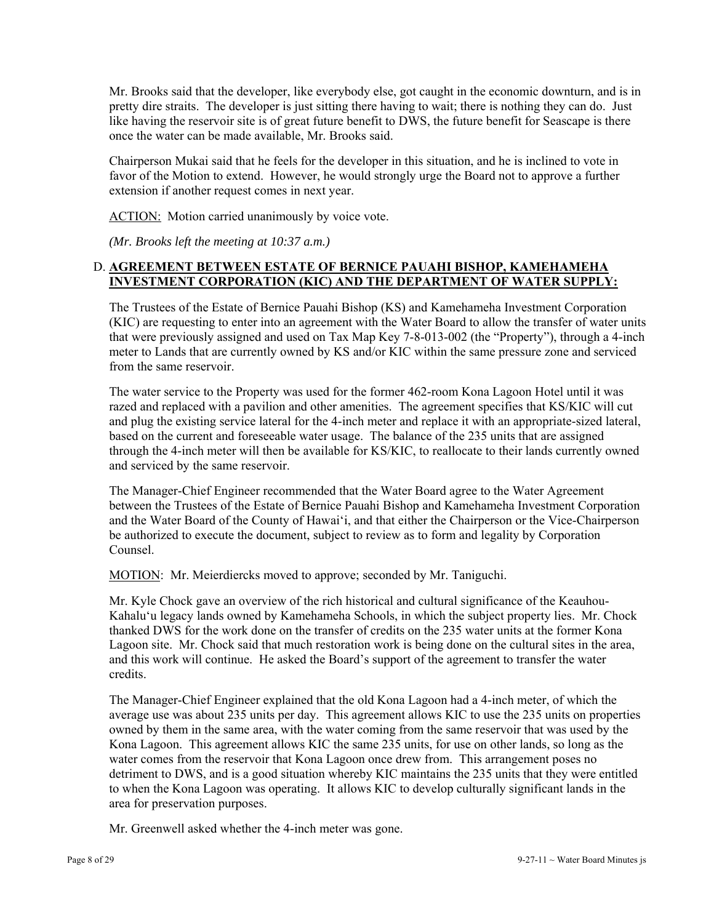Mr. Brooks said that the developer, like everybody else, got caught in the economic downturn, and is in pretty dire straits. The developer is just sitting there having to wait; there is nothing they can do. Just like having the reservoir site is of great future benefit to DWS, the future benefit for Seascape is there once the water can be made available, Mr. Brooks said.

Chairperson Mukai said that he feels for the developer in this situation, and he is inclined to vote in favor of the Motion to extend. However, he would strongly urge the Board not to approve a further extension if another request comes in next year.

ACTION: Motion carried unanimously by voice vote.

*(Mr. Brooks left the meeting at 10:37 a.m.)* 

### D. **AGREEMENT BETWEEN ESTATE OF BERNICE PAUAHI BISHOP, KAMEHAMEHA INVESTMENT CORPORATION (KIC) AND THE DEPARTMENT OF WATER SUPPLY:**

The Trustees of the Estate of Bernice Pauahi Bishop (KS) and Kamehameha Investment Corporation (KIC) are requesting to enter into an agreement with the Water Board to allow the transfer of water units that were previously assigned and used on Tax Map Key 7-8-013-002 (the "Property"), through a 4-inch meter to Lands that are currently owned by KS and/or KIC within the same pressure zone and serviced from the same reservoir.

The water service to the Property was used for the former 462-room Kona Lagoon Hotel until it was razed and replaced with a pavilion and other amenities. The agreement specifies that KS/KIC will cut and plug the existing service lateral for the 4-inch meter and replace it with an appropriate-sized lateral, based on the current and foreseeable water usage. The balance of the 235 units that are assigned through the 4-inch meter will then be available for KS/KIC, to reallocate to their lands currently owned and serviced by the same reservoir.

The Manager-Chief Engineer recommended that the Water Board agree to the Water Agreement between the Trustees of the Estate of Bernice Pauahi Bishop and Kamehameha Investment Corporation and the Water Board of the County of Hawai'i, and that either the Chairperson or the Vice-Chairperson be authorized to execute the document, subject to review as to form and legality by Corporation Counsel.

MOTION: Mr. Meierdiercks moved to approve; seconded by Mr. Taniguchi.

Mr. Kyle Chock gave an overview of the rich historical and cultural significance of the Keauhou-Kahalu'u legacy lands owned by Kamehameha Schools, in which the subject property lies. Mr. Chock thanked DWS for the work done on the transfer of credits on the 235 water units at the former Kona Lagoon site. Mr. Chock said that much restoration work is being done on the cultural sites in the area, and this work will continue. He asked the Board's support of the agreement to transfer the water credits.

The Manager-Chief Engineer explained that the old Kona Lagoon had a 4-inch meter, of which the average use was about 235 units per day. This agreement allows KIC to use the 235 units on properties owned by them in the same area, with the water coming from the same reservoir that was used by the Kona Lagoon. This agreement allows KIC the same 235 units, for use on other lands, so long as the water comes from the reservoir that Kona Lagoon once drew from. This arrangement poses no detriment to DWS, and is a good situation whereby KIC maintains the 235 units that they were entitled to when the Kona Lagoon was operating. It allows KIC to develop culturally significant lands in the area for preservation purposes.

Mr. Greenwell asked whether the 4-inch meter was gone.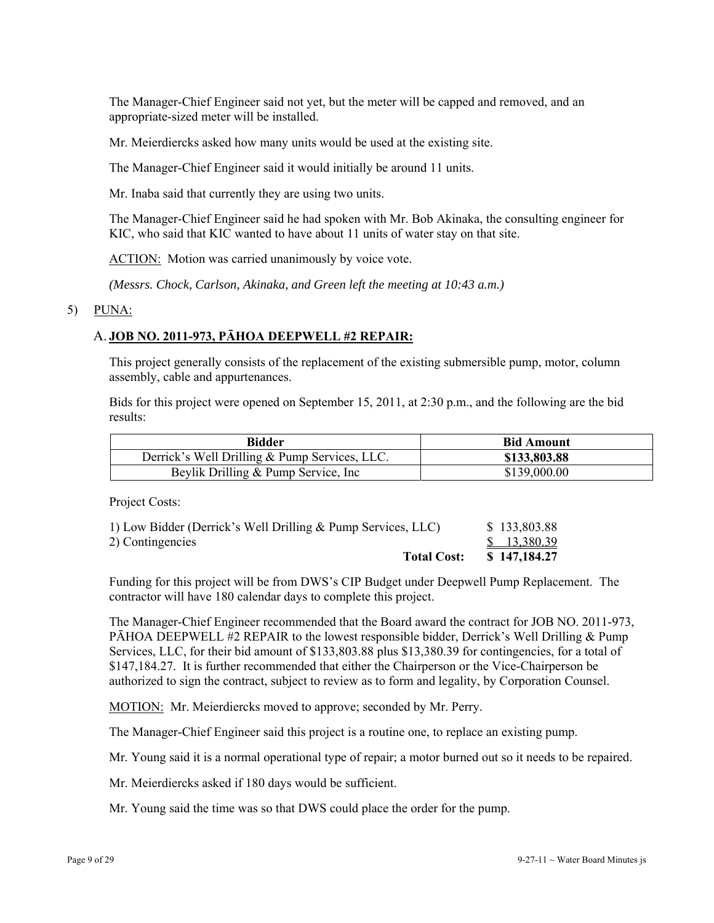The Manager-Chief Engineer said not yet, but the meter will be capped and removed, and an appropriate-sized meter will be installed.

Mr. Meierdiercks asked how many units would be used at the existing site.

The Manager-Chief Engineer said it would initially be around 11 units.

Mr. Inaba said that currently they are using two units.

The Manager-Chief Engineer said he had spoken with Mr. Bob Akinaka, the consulting engineer for KIC, who said that KIC wanted to have about 11 units of water stay on that site.

ACTION: Motion was carried unanimously by voice vote.

*(Messrs. Chock, Carlson, Akinaka, and Green left the meeting at 10:43 a.m.)* 

### 5) PUNA:

## A. **JOB NO. 2011-973, PĀHOA DEEPWELL #2 REPAIR:**

This project generally consists of the replacement of the existing submersible pump, motor, column assembly, cable and appurtenances.

Bids for this project were opened on September 15, 2011, at 2:30 p.m., and the following are the bid results:

| Bidder                                        | <b>Bid Amount</b> |
|-----------------------------------------------|-------------------|
| Derrick's Well Drilling & Pump Services, LLC. | \$133,803.88      |
| Beylik Drilling & Pump Service, Inc.          | \$139,000.00      |

Project Costs:

| 1) Low Bidder (Derrick's Well Drilling & Pump Services, LLC) | \$133,803.88 |
|--------------------------------------------------------------|--------------|
| 2) Contingencies                                             | \$13,380.39  |
| <b>Total Cost:</b>                                           | \$147,184.27 |

Funding for this project will be from DWS's CIP Budget under Deepwell Pump Replacement. The contractor will have 180 calendar days to complete this project.

The Manager-Chief Engineer recommended that the Board award the contract for JOB NO. 2011-973, PĀHOA DEEPWELL #2 REPAIR to the lowest responsible bidder, Derrick's Well Drilling & Pump Services, LLC, for their bid amount of \$133,803.88 plus \$13,380.39 for contingencies, for a total of \$147,184.27. It is further recommended that either the Chairperson or the Vice-Chairperson be authorized to sign the contract, subject to review as to form and legality, by Corporation Counsel.

MOTION: Mr. Meierdiercks moved to approve; seconded by Mr. Perry.

The Manager-Chief Engineer said this project is a routine one, to replace an existing pump.

Mr. Young said it is a normal operational type of repair; a motor burned out so it needs to be repaired.

Mr. Meierdiercks asked if 180 days would be sufficient.

Mr. Young said the time was so that DWS could place the order for the pump.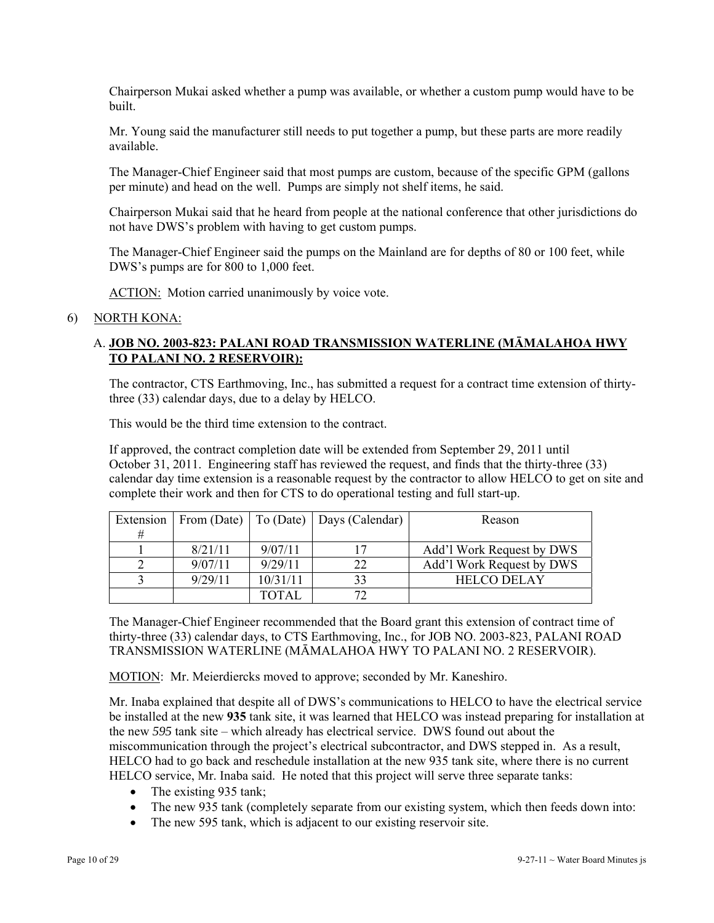Chairperson Mukai asked whether a pump was available, or whether a custom pump would have to be built.

Mr. Young said the manufacturer still needs to put together a pump, but these parts are more readily available.

The Manager-Chief Engineer said that most pumps are custom, because of the specific GPM (gallons per minute) and head on the well. Pumps are simply not shelf items, he said.

Chairperson Mukai said that he heard from people at the national conference that other jurisdictions do not have DWS's problem with having to get custom pumps.

The Manager-Chief Engineer said the pumps on the Mainland are for depths of 80 or 100 feet, while DWS's pumps are for 800 to 1,000 feet.

ACTION: Motion carried unanimously by voice vote.

### 6) NORTH KONA:

### A. **JOB NO. 2003-823: PALANI ROAD TRANSMISSION WATERLINE (MĀMALAHOA HWY TO PALANI NO. 2 RESERVOIR):**

The contractor, CTS Earthmoving, Inc., has submitted a request for a contract time extension of thirtythree (33) calendar days, due to a delay by HELCO.

This would be the third time extension to the contract.

If approved, the contract completion date will be extended from September 29, 2011 until October 31, 2011. Engineering staff has reviewed the request, and finds that the thirty-three (33) calendar day time extension is a reasonable request by the contractor to allow HELCO to get on site and complete their work and then for CTS to do operational testing and full start-up.

| Extension |         |              | From (Date)   To (Date)   Days (Calendar) | Reason                    |
|-----------|---------|--------------|-------------------------------------------|---------------------------|
| #         |         |              |                                           |                           |
|           | 8/21/11 | 9/07/11      |                                           | Add'l Work Request by DWS |
|           | 9/07/11 | 9/29/11      | つつ                                        | Add'l Work Request by DWS |
|           | 9/29/11 | 10/31/11     | 33                                        | <b>HELCO DELAY</b>        |
|           |         | <b>TOTAL</b> |                                           |                           |

The Manager-Chief Engineer recommended that the Board grant this extension of contract time of thirty-three (33) calendar days, to CTS Earthmoving, Inc., for JOB NO. 2003-823, PALANI ROAD TRANSMISSION WATERLINE (MĀMALAHOA HWY TO PALANI NO. 2 RESERVOIR).

MOTION: Mr. Meierdiercks moved to approve; seconded by Mr. Kaneshiro.

Mr. Inaba explained that despite all of DWS's communications to HELCO to have the electrical service be installed at the new **935** tank site, it was learned that HELCO was instead preparing for installation at the new *595* tank site – which already has electrical service. DWS found out about the miscommunication through the project's electrical subcontractor, and DWS stepped in. As a result, HELCO had to go back and reschedule installation at the new 935 tank site, where there is no current HELCO service, Mr. Inaba said. He noted that this project will serve three separate tanks:

- The existing 935 tank;
- The new 935 tank (completely separate from our existing system, which then feeds down into:
- The new 595 tank, which is adjacent to our existing reservoir site.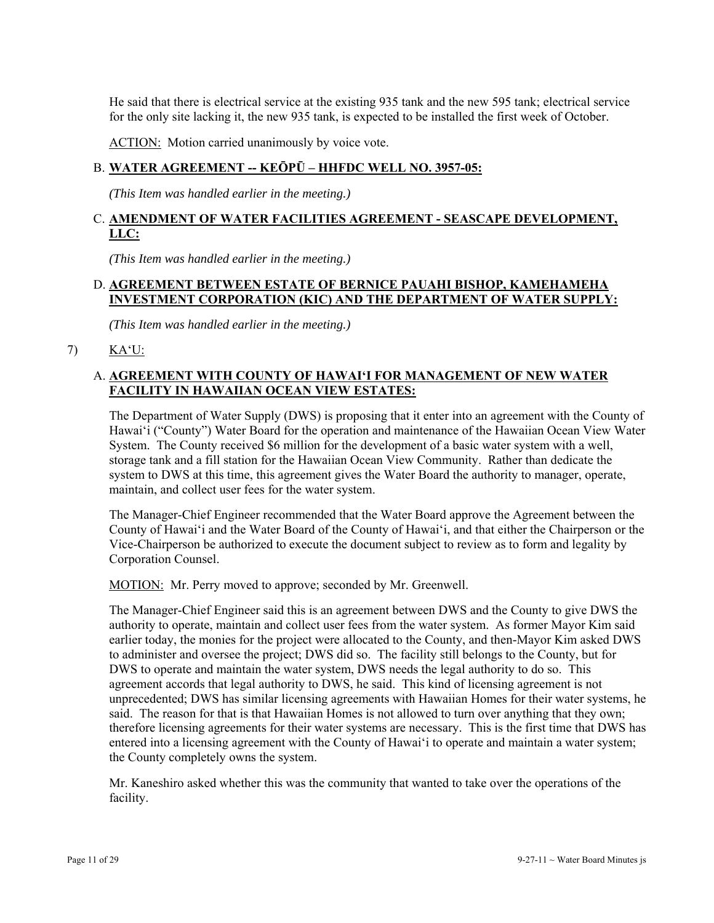He said that there is electrical service at the existing 935 tank and the new 595 tank; electrical service for the only site lacking it, the new 935 tank, is expected to be installed the first week of October.

ACTION: Motion carried unanimously by voice vote.

## B. **WATER AGREEMENT -- KEŌPŪ – HHFDC WELL NO. 3957-05:**

*(This Item was handled earlier in the meeting.)* 

## C. **AMENDMENT OF WATER FACILITIES AGREEMENT - SEASCAPE DEVELOPMENT, LLC:**

*(This Item was handled earlier in the meeting.)* 

## D. **AGREEMENT BETWEEN ESTATE OF BERNICE PAUAHI BISHOP, KAMEHAMEHA INVESTMENT CORPORATION (KIC) AND THE DEPARTMENT OF WATER SUPPLY:**

*(This Item was handled earlier in the meeting.)* 

7) KA'U:

## A. **AGREEMENT WITH COUNTY OF HAWAI'I FOR MANAGEMENT OF NEW WATER FACILITY IN HAWAIIAN OCEAN VIEW ESTATES:**

The Department of Water Supply (DWS) is proposing that it enter into an agreement with the County of Hawai'i ("County") Water Board for the operation and maintenance of the Hawaiian Ocean View Water System. The County received \$6 million for the development of a basic water system with a well, storage tank and a fill station for the Hawaiian Ocean View Community. Rather than dedicate the system to DWS at this time, this agreement gives the Water Board the authority to manager, operate, maintain, and collect user fees for the water system.

The Manager-Chief Engineer recommended that the Water Board approve the Agreement between the County of Hawai'i and the Water Board of the County of Hawai'i, and that either the Chairperson or the Vice-Chairperson be authorized to execute the document subject to review as to form and legality by Corporation Counsel.

MOTION: Mr. Perry moved to approve; seconded by Mr. Greenwell.

The Manager-Chief Engineer said this is an agreement between DWS and the County to give DWS the authority to operate, maintain and collect user fees from the water system. As former Mayor Kim said earlier today, the monies for the project were allocated to the County, and then-Mayor Kim asked DWS to administer and oversee the project; DWS did so. The facility still belongs to the County, but for DWS to operate and maintain the water system, DWS needs the legal authority to do so. This agreement accords that legal authority to DWS, he said. This kind of licensing agreement is not unprecedented; DWS has similar licensing agreements with Hawaiian Homes for their water systems, he said. The reason for that is that Hawaiian Homes is not allowed to turn over anything that they own; therefore licensing agreements for their water systems are necessary. This is the first time that DWS has entered into a licensing agreement with the County of Hawai'i to operate and maintain a water system; the County completely owns the system.

Mr. Kaneshiro asked whether this was the community that wanted to take over the operations of the facility.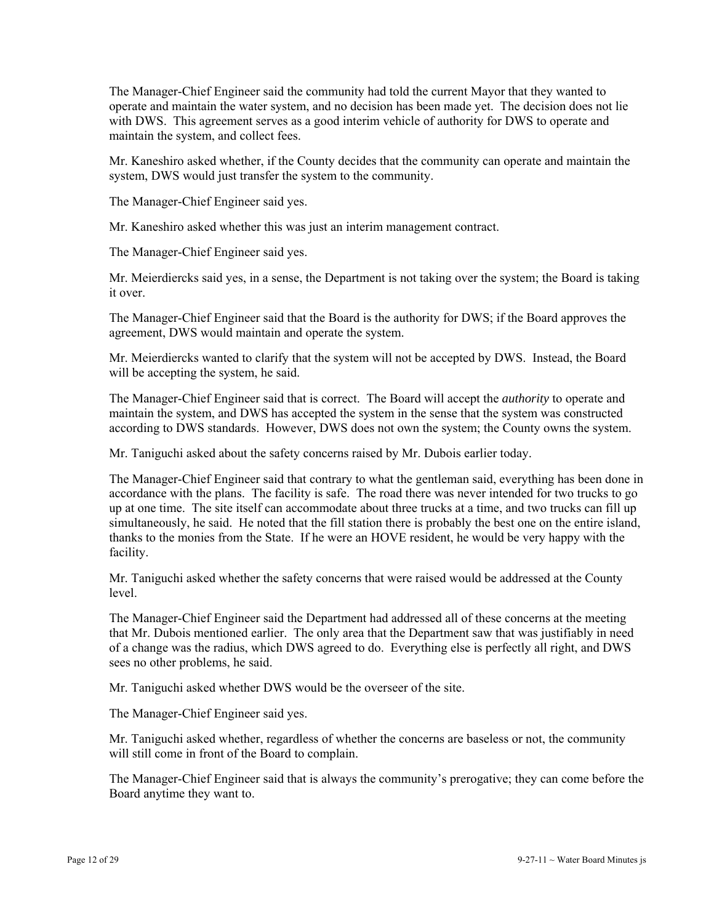The Manager-Chief Engineer said the community had told the current Mayor that they wanted to operate and maintain the water system, and no decision has been made yet. The decision does not lie with DWS. This agreement serves as a good interim vehicle of authority for DWS to operate and maintain the system, and collect fees.

Mr. Kaneshiro asked whether, if the County decides that the community can operate and maintain the system, DWS would just transfer the system to the community.

The Manager-Chief Engineer said yes.

Mr. Kaneshiro asked whether this was just an interim management contract.

The Manager-Chief Engineer said yes.

Mr. Meierdiercks said yes, in a sense, the Department is not taking over the system; the Board is taking it over.

The Manager-Chief Engineer said that the Board is the authority for DWS; if the Board approves the agreement, DWS would maintain and operate the system.

Mr. Meierdiercks wanted to clarify that the system will not be accepted by DWS. Instead, the Board will be accepting the system, he said.

The Manager-Chief Engineer said that is correct. The Board will accept the *authority* to operate and maintain the system, and DWS has accepted the system in the sense that the system was constructed according to DWS standards. However, DWS does not own the system; the County owns the system.

Mr. Taniguchi asked about the safety concerns raised by Mr. Dubois earlier today.

The Manager-Chief Engineer said that contrary to what the gentleman said, everything has been done in accordance with the plans. The facility is safe. The road there was never intended for two trucks to go up at one time. The site itself can accommodate about three trucks at a time, and two trucks can fill up simultaneously, he said. He noted that the fill station there is probably the best one on the entire island, thanks to the monies from the State. If he were an HOVE resident, he would be very happy with the facility.

Mr. Taniguchi asked whether the safety concerns that were raised would be addressed at the County level.

The Manager-Chief Engineer said the Department had addressed all of these concerns at the meeting that Mr. Dubois mentioned earlier. The only area that the Department saw that was justifiably in need of a change was the radius, which DWS agreed to do. Everything else is perfectly all right, and DWS sees no other problems, he said.

Mr. Taniguchi asked whether DWS would be the overseer of the site.

The Manager-Chief Engineer said yes.

Mr. Taniguchi asked whether, regardless of whether the concerns are baseless or not, the community will still come in front of the Board to complain.

The Manager-Chief Engineer said that is always the community's prerogative; they can come before the Board anytime they want to.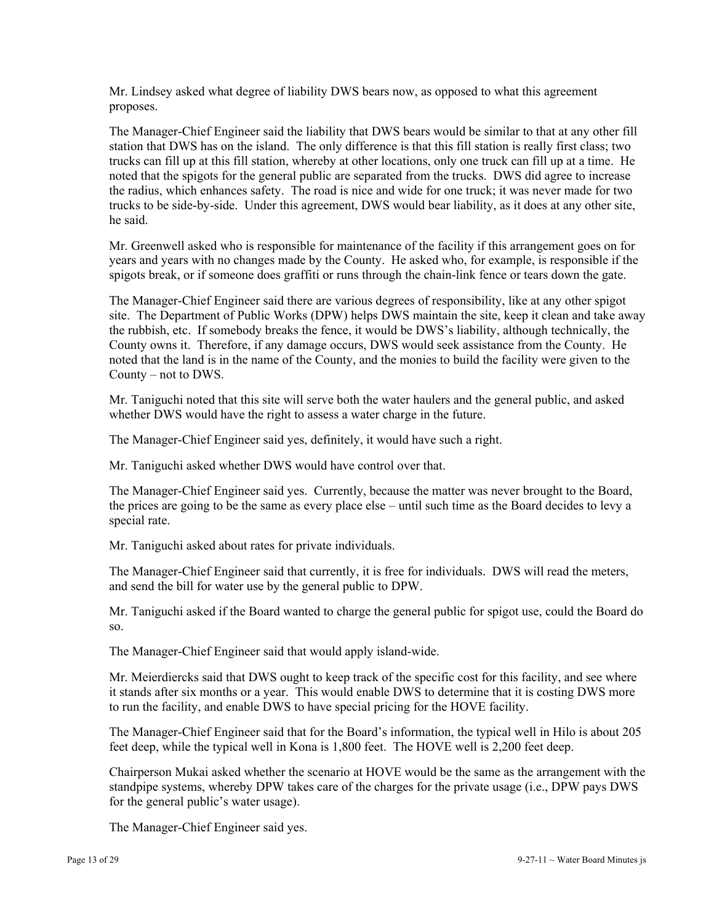Mr. Lindsey asked what degree of liability DWS bears now, as opposed to what this agreement proposes.

The Manager-Chief Engineer said the liability that DWS bears would be similar to that at any other fill station that DWS has on the island. The only difference is that this fill station is really first class; two trucks can fill up at this fill station, whereby at other locations, only one truck can fill up at a time. He noted that the spigots for the general public are separated from the trucks. DWS did agree to increase the radius, which enhances safety. The road is nice and wide for one truck; it was never made for two trucks to be side-by-side. Under this agreement, DWS would bear liability, as it does at any other site, he said.

Mr. Greenwell asked who is responsible for maintenance of the facility if this arrangement goes on for years and years with no changes made by the County. He asked who, for example, is responsible if the spigots break, or if someone does graffiti or runs through the chain-link fence or tears down the gate.

The Manager-Chief Engineer said there are various degrees of responsibility, like at any other spigot site. The Department of Public Works (DPW) helps DWS maintain the site, keep it clean and take away the rubbish, etc. If somebody breaks the fence, it would be DWS's liability, although technically, the County owns it. Therefore, if any damage occurs, DWS would seek assistance from the County. He noted that the land is in the name of the County, and the monies to build the facility were given to the County – not to DWS.

Mr. Taniguchi noted that this site will serve both the water haulers and the general public, and asked whether DWS would have the right to assess a water charge in the future.

The Manager-Chief Engineer said yes, definitely, it would have such a right.

Mr. Taniguchi asked whether DWS would have control over that.

The Manager-Chief Engineer said yes. Currently, because the matter was never brought to the Board, the prices are going to be the same as every place else – until such time as the Board decides to levy a special rate.

Mr. Taniguchi asked about rates for private individuals.

The Manager-Chief Engineer said that currently, it is free for individuals. DWS will read the meters, and send the bill for water use by the general public to DPW.

Mr. Taniguchi asked if the Board wanted to charge the general public for spigot use, could the Board do so.

The Manager-Chief Engineer said that would apply island-wide.

Mr. Meierdiercks said that DWS ought to keep track of the specific cost for this facility, and see where it stands after six months or a year. This would enable DWS to determine that it is costing DWS more to run the facility, and enable DWS to have special pricing for the HOVE facility.

The Manager-Chief Engineer said that for the Board's information, the typical well in Hilo is about 205 feet deep, while the typical well in Kona is 1,800 feet. The HOVE well is 2,200 feet deep.

Chairperson Mukai asked whether the scenario at HOVE would be the same as the arrangement with the standpipe systems, whereby DPW takes care of the charges for the private usage (i.e., DPW pays DWS for the general public's water usage).

The Manager-Chief Engineer said yes.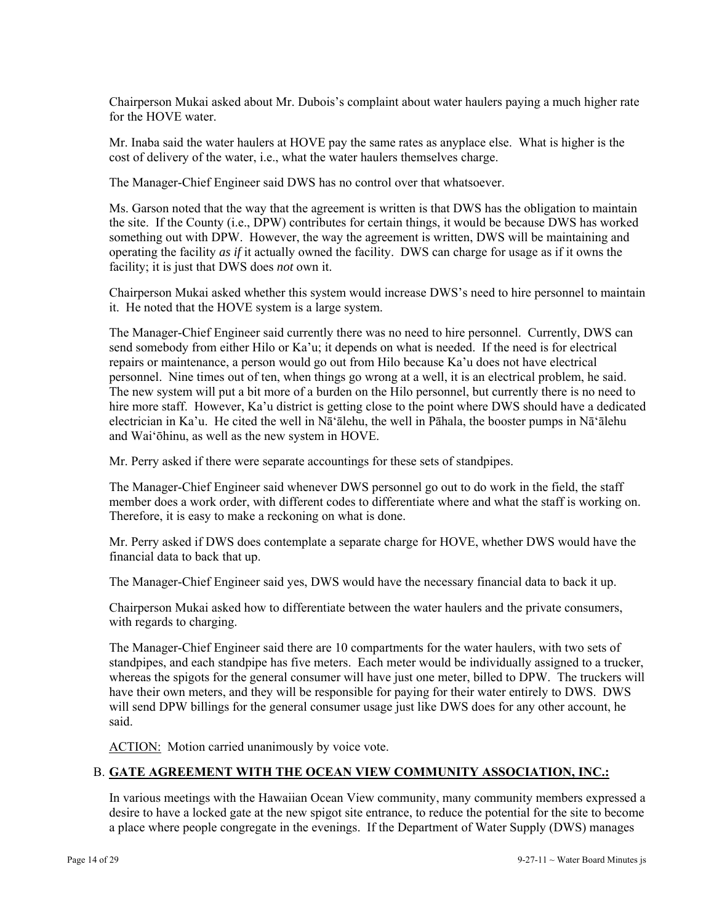Chairperson Mukai asked about Mr. Dubois's complaint about water haulers paying a much higher rate for the HOVE water.

Mr. Inaba said the water haulers at HOVE pay the same rates as anyplace else. What is higher is the cost of delivery of the water, i.e., what the water haulers themselves charge.

The Manager-Chief Engineer said DWS has no control over that whatsoever.

Ms. Garson noted that the way that the agreement is written is that DWS has the obligation to maintain the site. If the County (i.e., DPW) contributes for certain things, it would be because DWS has worked something out with DPW. However, the way the agreement is written, DWS will be maintaining and operating the facility *as if* it actually owned the facility. DWS can charge for usage as if it owns the facility; it is just that DWS does *not* own it.

Chairperson Mukai asked whether this system would increase DWS's need to hire personnel to maintain it. He noted that the HOVE system is a large system.

The Manager-Chief Engineer said currently there was no need to hire personnel. Currently, DWS can send somebody from either Hilo or Ka'u; it depends on what is needed. If the need is for electrical repairs or maintenance, a person would go out from Hilo because Ka'u does not have electrical personnel. Nine times out of ten, when things go wrong at a well, it is an electrical problem, he said. The new system will put a bit more of a burden on the Hilo personnel, but currently there is no need to hire more staff. However, Ka'u district is getting close to the point where DWS should have a dedicated electrician in Ka'u. He cited the well in Nā'ālehu, the well in Pāhala, the booster pumps in Nā'ālehu and Wai'ōhinu, as well as the new system in HOVE.

Mr. Perry asked if there were separate accountings for these sets of standpipes.

The Manager-Chief Engineer said whenever DWS personnel go out to do work in the field, the staff member does a work order, with different codes to differentiate where and what the staff is working on. Therefore, it is easy to make a reckoning on what is done.

Mr. Perry asked if DWS does contemplate a separate charge for HOVE, whether DWS would have the financial data to back that up.

The Manager-Chief Engineer said yes, DWS would have the necessary financial data to back it up.

Chairperson Mukai asked how to differentiate between the water haulers and the private consumers, with regards to charging.

The Manager-Chief Engineer said there are 10 compartments for the water haulers, with two sets of standpipes, and each standpipe has five meters. Each meter would be individually assigned to a trucker, whereas the spigots for the general consumer will have just one meter, billed to DPW. The truckers will have their own meters, and they will be responsible for paying for their water entirely to DWS. DWS will send DPW billings for the general consumer usage just like DWS does for any other account, he said.

ACTION: Motion carried unanimously by voice vote.

## B. **GATE AGREEMENT WITH THE OCEAN VIEW COMMUNITY ASSOCIATION, INC.:**

In various meetings with the Hawaiian Ocean View community, many community members expressed a desire to have a locked gate at the new spigot site entrance, to reduce the potential for the site to become a place where people congregate in the evenings. If the Department of Water Supply (DWS) manages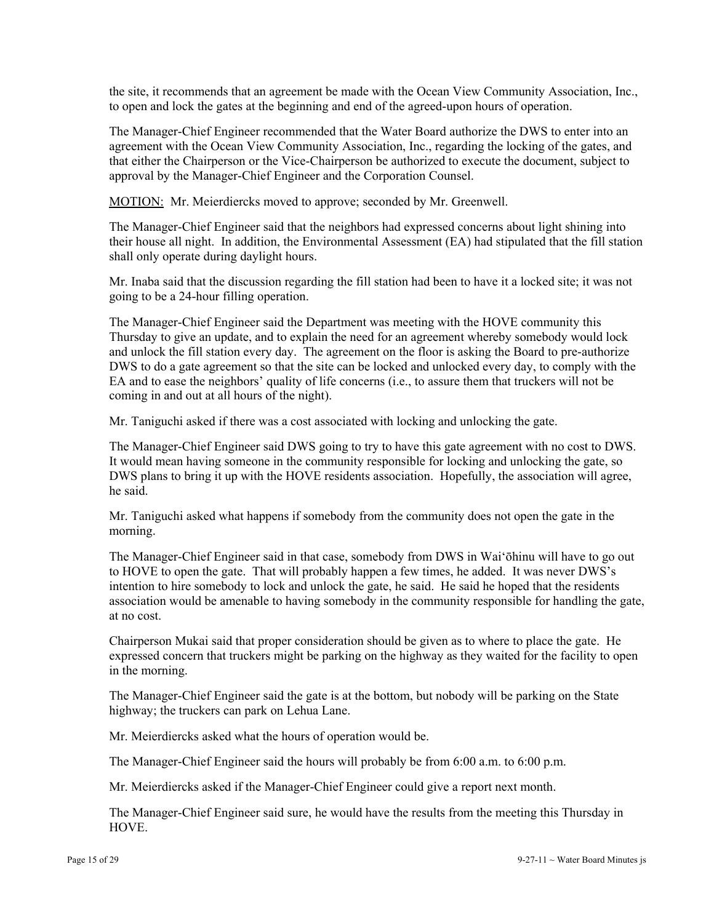the site, it recommends that an agreement be made with the Ocean View Community Association, Inc., to open and lock the gates at the beginning and end of the agreed-upon hours of operation.

The Manager-Chief Engineer recommended that the Water Board authorize the DWS to enter into an agreement with the Ocean View Community Association, Inc., regarding the locking of the gates, and that either the Chairperson or the Vice-Chairperson be authorized to execute the document, subject to approval by the Manager-Chief Engineer and the Corporation Counsel.

MOTION: Mr. Meierdiercks moved to approve; seconded by Mr. Greenwell.

The Manager-Chief Engineer said that the neighbors had expressed concerns about light shining into their house all night. In addition, the Environmental Assessment (EA) had stipulated that the fill station shall only operate during daylight hours.

Mr. Inaba said that the discussion regarding the fill station had been to have it a locked site; it was not going to be a 24-hour filling operation.

The Manager-Chief Engineer said the Department was meeting with the HOVE community this Thursday to give an update, and to explain the need for an agreement whereby somebody would lock and unlock the fill station every day. The agreement on the floor is asking the Board to pre-authorize DWS to do a gate agreement so that the site can be locked and unlocked every day, to comply with the EA and to ease the neighbors' quality of life concerns (i.e., to assure them that truckers will not be coming in and out at all hours of the night).

Mr. Taniguchi asked if there was a cost associated with locking and unlocking the gate.

The Manager-Chief Engineer said DWS going to try to have this gate agreement with no cost to DWS. It would mean having someone in the community responsible for locking and unlocking the gate, so DWS plans to bring it up with the HOVE residents association. Hopefully, the association will agree, he said.

Mr. Taniguchi asked what happens if somebody from the community does not open the gate in the morning.

The Manager-Chief Engineer said in that case, somebody from DWS in Wai'ōhinu will have to go out to HOVE to open the gate. That will probably happen a few times, he added. It was never DWS's intention to hire somebody to lock and unlock the gate, he said. He said he hoped that the residents association would be amenable to having somebody in the community responsible for handling the gate, at no cost.

Chairperson Mukai said that proper consideration should be given as to where to place the gate. He expressed concern that truckers might be parking on the highway as they waited for the facility to open in the morning.

The Manager-Chief Engineer said the gate is at the bottom, but nobody will be parking on the State highway; the truckers can park on Lehua Lane.

Mr. Meierdiercks asked what the hours of operation would be.

The Manager-Chief Engineer said the hours will probably be from 6:00 a.m. to 6:00 p.m.

Mr. Meierdiercks asked if the Manager-Chief Engineer could give a report next month.

The Manager-Chief Engineer said sure, he would have the results from the meeting this Thursday in HOVE.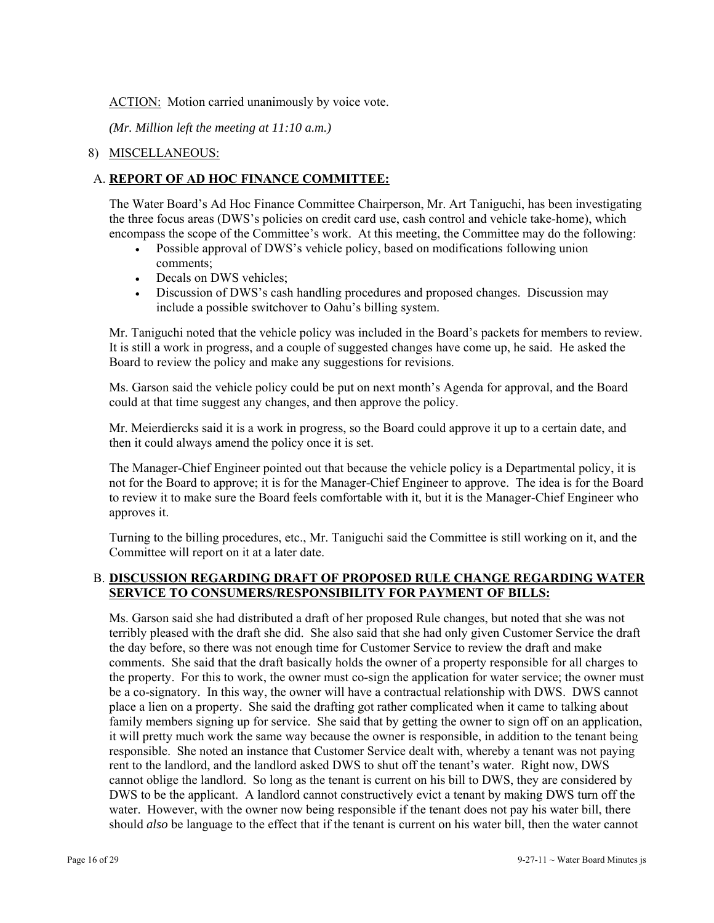### ACTION: Motion carried unanimously by voice vote.

*(Mr. Million left the meeting at 11:10 a.m.)* 

## 8) MISCELLANEOUS:

## A. **REPORT OF AD HOC FINANCE COMMITTEE:**

The Water Board's Ad Hoc Finance Committee Chairperson, Mr. Art Taniguchi, has been investigating the three focus areas (DWS's policies on credit card use, cash control and vehicle take-home), which encompass the scope of the Committee's work. At this meeting, the Committee may do the following:

- Possible approval of DWS's vehicle policy, based on modifications following union comments;
- Decals on DWS vehicles;
- Discussion of DWS's cash handling procedures and proposed changes. Discussion may include a possible switchover to Oahu's billing system.

Mr. Taniguchi noted that the vehicle policy was included in the Board's packets for members to review. It is still a work in progress, and a couple of suggested changes have come up, he said. He asked the Board to review the policy and make any suggestions for revisions.

Ms. Garson said the vehicle policy could be put on next month's Agenda for approval, and the Board could at that time suggest any changes, and then approve the policy.

Mr. Meierdiercks said it is a work in progress, so the Board could approve it up to a certain date, and then it could always amend the policy once it is set.

The Manager-Chief Engineer pointed out that because the vehicle policy is a Departmental policy, it is not for the Board to approve; it is for the Manager-Chief Engineer to approve. The idea is for the Board to review it to make sure the Board feels comfortable with it, but it is the Manager-Chief Engineer who approves it.

Turning to the billing procedures, etc., Mr. Taniguchi said the Committee is still working on it, and the Committee will report on it at a later date.

## B. **DISCUSSION REGARDING DRAFT OF PROPOSED RULE CHANGE REGARDING WATER SERVICE TO CONSUMERS/RESPONSIBILITY FOR PAYMENT OF BILLS:**

Ms. Garson said she had distributed a draft of her proposed Rule changes, but noted that she was not terribly pleased with the draft she did. She also said that she had only given Customer Service the draft the day before, so there was not enough time for Customer Service to review the draft and make comments. She said that the draft basically holds the owner of a property responsible for all charges to the property. For this to work, the owner must co-sign the application for water service; the owner must be a co-signatory. In this way, the owner will have a contractual relationship with DWS. DWS cannot place a lien on a property. She said the drafting got rather complicated when it came to talking about family members signing up for service. She said that by getting the owner to sign off on an application, it will pretty much work the same way because the owner is responsible, in addition to the tenant being responsible. She noted an instance that Customer Service dealt with, whereby a tenant was not paying rent to the landlord, and the landlord asked DWS to shut off the tenant's water. Right now, DWS cannot oblige the landlord. So long as the tenant is current on his bill to DWS, they are considered by DWS to be the applicant. A landlord cannot constructively evict a tenant by making DWS turn off the water. However, with the owner now being responsible if the tenant does not pay his water bill, there should *also* be language to the effect that if the tenant is current on his water bill, then the water cannot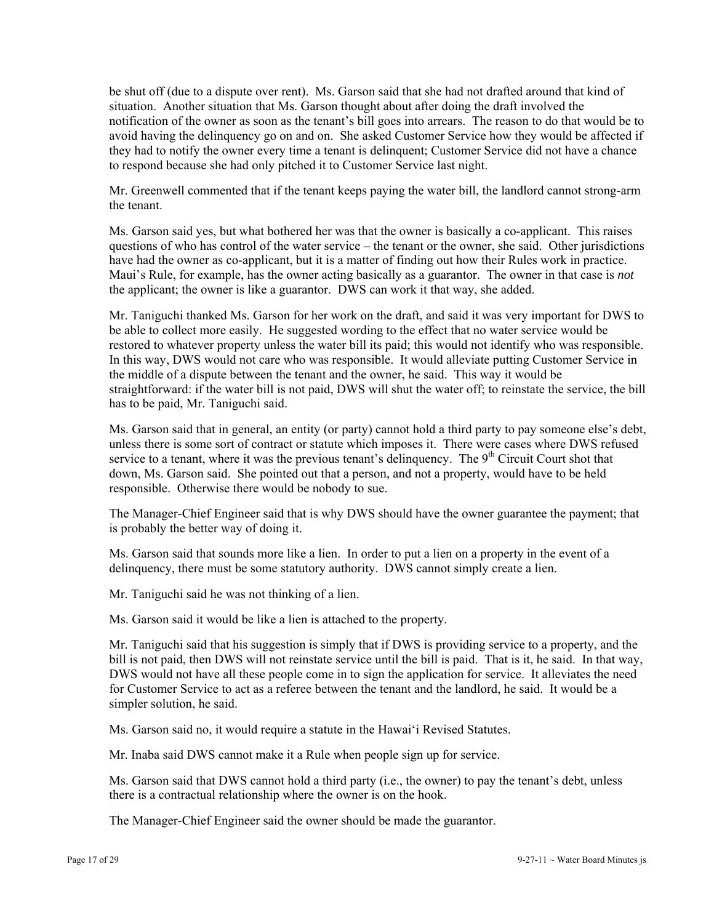be shut off (due to a dispute over rent). Ms. Garson said that she had not drafted around that kind of situation. Another situation that Ms. Garson thought about after doing the draft involved the notification of the owner as soon as the tenant's bill goes into arrears. The reason to do that would be to avoid having the delinquency go on and on. She asked Customer Service how they would be affected if they had to notify the owner every time a tenant is delinquent; Customer Service did not have a chance to respond because she had only pitched it to Customer Service last night.

Mr. Greenwell commented that if the tenant keeps paying the water bill, the landlord cannot strong-arm the tenant.

Ms. Garson said yes, but what bothered her was that the owner is basically a co-applicant. This raises questions of who has control of the water service – the tenant or the owner, she said. Other jurisdictions have had the owner as co-applicant, but it is a matter of finding out how their Rules work in practice. Maui's Rule, for example, has the owner acting basically as a guarantor. The owner in that case is *not*  the applicant; the owner is like a guarantor. DWS can work it that way, she added.

Mr. Taniguchi thanked Ms. Garson for her work on the draft, and said it was very important for DWS to be able to collect more easily. He suggested wording to the effect that no water service would be restored to whatever property unless the water bill its paid; this would not identify who was responsible. In this way, DWS would not care who was responsible. It would alleviate putting Customer Service in the middle of a dispute between the tenant and the owner, he said. This way it would be straightforward: if the water bill is not paid, DWS will shut the water off; to reinstate the service, the bill has to be paid, Mr. Taniguchi said.

Ms. Garson said that in general, an entity (or party) cannot hold a third party to pay someone else's debt, unless there is some sort of contract or statute which imposes it. There were cases where DWS refused service to a tenant, where it was the previous tenant's delinquency. The  $9<sup>th</sup>$  Circuit Court shot that down, Ms. Garson said. She pointed out that a person, and not a property, would have to be held responsible. Otherwise there would be nobody to sue.

The Manager-Chief Engineer said that is why DWS should have the owner guarantee the payment; that is probably the better way of doing it.

Ms. Garson said that sounds more like a lien. In order to put a lien on a property in the event of a delinquency, there must be some statutory authority. DWS cannot simply create a lien.

Mr. Taniguchi said he was not thinking of a lien.

Ms. Garson said it would be like a lien is attached to the property.

Mr. Taniguchi said that his suggestion is simply that if DWS is providing service to a property, and the bill is not paid, then DWS will not reinstate service until the bill is paid. That is it, he said. In that way, DWS would not have all these people come in to sign the application for service. It alleviates the need for Customer Service to act as a referee between the tenant and the landlord, he said. It would be a simpler solution, he said.

Ms. Garson said no, it would require a statute in the Hawai'i Revised Statutes.

Mr. Inaba said DWS cannot make it a Rule when people sign up for service.

Ms. Garson said that DWS cannot hold a third party (i.e., the owner) to pay the tenant's debt, unless there is a contractual relationship where the owner is on the hook.

The Manager-Chief Engineer said the owner should be made the guarantor.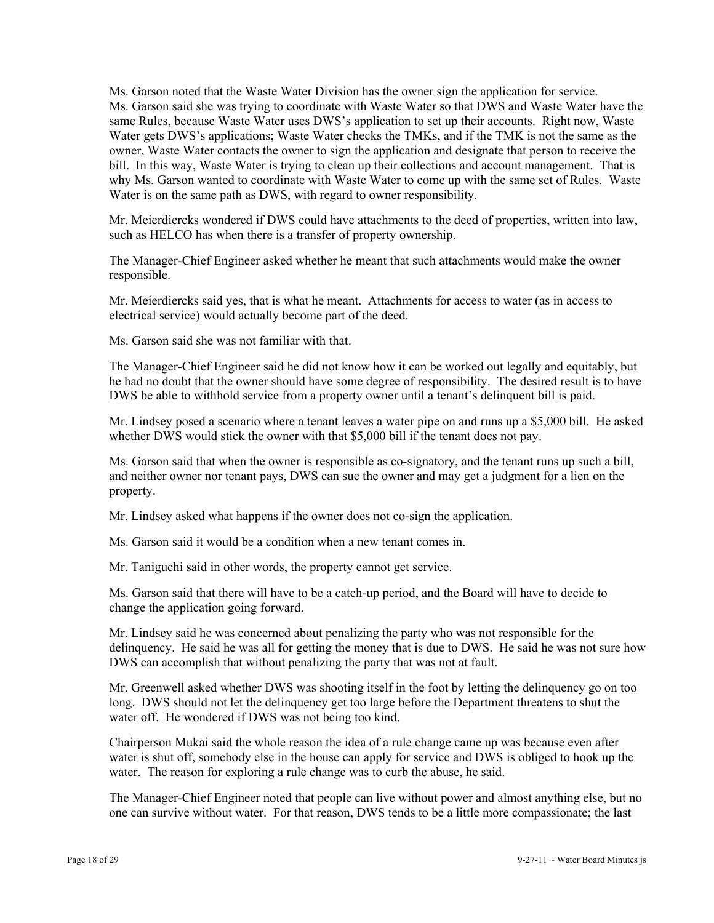Ms. Garson noted that the Waste Water Division has the owner sign the application for service. Ms. Garson said she was trying to coordinate with Waste Water so that DWS and Waste Water have the same Rules, because Waste Water uses DWS's application to set up their accounts. Right now, Waste Water gets DWS's applications; Waste Water checks the TMKs, and if the TMK is not the same as the owner, Waste Water contacts the owner to sign the application and designate that person to receive the bill. In this way, Waste Water is trying to clean up their collections and account management. That is why Ms. Garson wanted to coordinate with Waste Water to come up with the same set of Rules. Waste Water is on the same path as DWS, with regard to owner responsibility.

Mr. Meierdiercks wondered if DWS could have attachments to the deed of properties, written into law, such as HELCO has when there is a transfer of property ownership.

The Manager-Chief Engineer asked whether he meant that such attachments would make the owner responsible.

Mr. Meierdiercks said yes, that is what he meant. Attachments for access to water (as in access to electrical service) would actually become part of the deed.

Ms. Garson said she was not familiar with that.

The Manager-Chief Engineer said he did not know how it can be worked out legally and equitably, but he had no doubt that the owner should have some degree of responsibility. The desired result is to have DWS be able to withhold service from a property owner until a tenant's delinquent bill is paid.

Mr. Lindsey posed a scenario where a tenant leaves a water pipe on and runs up a \$5,000 bill. He asked whether DWS would stick the owner with that \$5,000 bill if the tenant does not pay.

Ms. Garson said that when the owner is responsible as co-signatory, and the tenant runs up such a bill, and neither owner nor tenant pays, DWS can sue the owner and may get a judgment for a lien on the property.

Mr. Lindsey asked what happens if the owner does not co-sign the application.

Ms. Garson said it would be a condition when a new tenant comes in.

Mr. Taniguchi said in other words, the property cannot get service.

Ms. Garson said that there will have to be a catch-up period, and the Board will have to decide to change the application going forward.

Mr. Lindsey said he was concerned about penalizing the party who was not responsible for the delinquency. He said he was all for getting the money that is due to DWS. He said he was not sure how DWS can accomplish that without penalizing the party that was not at fault.

Mr. Greenwell asked whether DWS was shooting itself in the foot by letting the delinquency go on too long. DWS should not let the delinquency get too large before the Department threatens to shut the water off. He wondered if DWS was not being too kind.

Chairperson Mukai said the whole reason the idea of a rule change came up was because even after water is shut off, somebody else in the house can apply for service and DWS is obliged to hook up the water. The reason for exploring a rule change was to curb the abuse, he said.

The Manager-Chief Engineer noted that people can live without power and almost anything else, but no one can survive without water. For that reason, DWS tends to be a little more compassionate; the last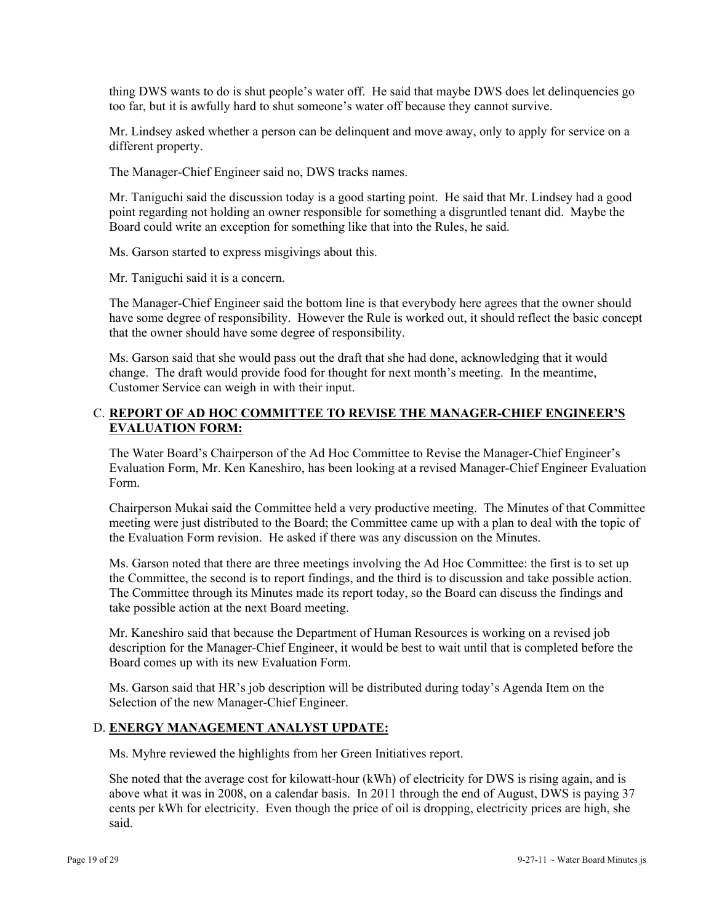thing DWS wants to do is shut people's water off. He said that maybe DWS does let delinquencies go too far, but it is awfully hard to shut someone's water off because they cannot survive.

Mr. Lindsey asked whether a person can be delinquent and move away, only to apply for service on a different property.

The Manager-Chief Engineer said no, DWS tracks names.

Mr. Taniguchi said the discussion today is a good starting point. He said that Mr. Lindsey had a good point regarding not holding an owner responsible for something a disgruntled tenant did. Maybe the Board could write an exception for something like that into the Rules, he said.

Ms. Garson started to express misgivings about this.

Mr. Taniguchi said it is a concern.

The Manager-Chief Engineer said the bottom line is that everybody here agrees that the owner should have some degree of responsibility. However the Rule is worked out, it should reflect the basic concept that the owner should have some degree of responsibility.

Ms. Garson said that she would pass out the draft that she had done, acknowledging that it would change. The draft would provide food for thought for next month's meeting. In the meantime, Customer Service can weigh in with their input.

## C. **REPORT OF AD HOC COMMITTEE TO REVISE THE MANAGER-CHIEF ENGINEER'S EVALUATION FORM:**

The Water Board's Chairperson of the Ad Hoc Committee to Revise the Manager-Chief Engineer's Evaluation Form, Mr. Ken Kaneshiro, has been looking at a revised Manager-Chief Engineer Evaluation Form.

Chairperson Mukai said the Committee held a very productive meeting. The Minutes of that Committee meeting were just distributed to the Board; the Committee came up with a plan to deal with the topic of the Evaluation Form revision. He asked if there was any discussion on the Minutes.

Ms. Garson noted that there are three meetings involving the Ad Hoc Committee: the first is to set up the Committee, the second is to report findings, and the third is to discussion and take possible action. The Committee through its Minutes made its report today, so the Board can discuss the findings and take possible action at the next Board meeting.

Mr. Kaneshiro said that because the Department of Human Resources is working on a revised job description for the Manager-Chief Engineer, it would be best to wait until that is completed before the Board comes up with its new Evaluation Form.

Ms. Garson said that HR's job description will be distributed during today's Agenda Item on the Selection of the new Manager-Chief Engineer.

### D. **ENERGY MANAGEMENT ANALYST UPDATE:**

Ms. Myhre reviewed the highlights from her Green Initiatives report.

She noted that the average cost for kilowatt-hour (kWh) of electricity for DWS is rising again, and is above what it was in 2008, on a calendar basis. In 2011 through the end of August, DWS is paying 37 cents per kWh for electricity. Even though the price of oil is dropping, electricity prices are high, she said.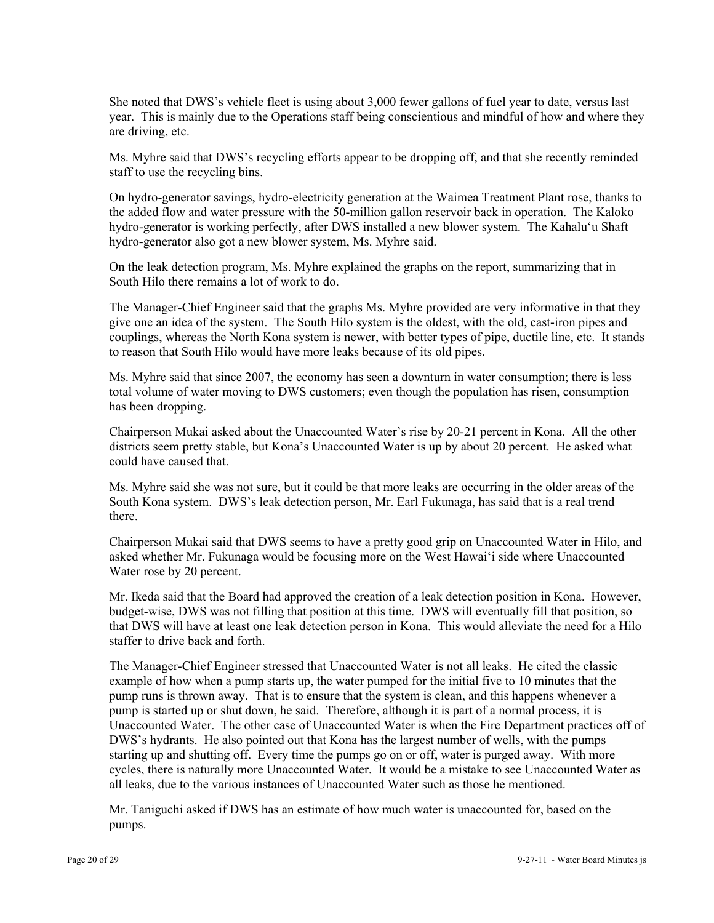She noted that DWS's vehicle fleet is using about 3,000 fewer gallons of fuel year to date, versus last year. This is mainly due to the Operations staff being conscientious and mindful of how and where they are driving, etc.

Ms. Myhre said that DWS's recycling efforts appear to be dropping off, and that she recently reminded staff to use the recycling bins.

On hydro-generator savings, hydro-electricity generation at the Waimea Treatment Plant rose, thanks to the added flow and water pressure with the 50-million gallon reservoir back in operation. The Kaloko hydro-generator is working perfectly, after DWS installed a new blower system. The Kahalu'u Shaft hydro-generator also got a new blower system, Ms. Myhre said.

On the leak detection program, Ms. Myhre explained the graphs on the report, summarizing that in South Hilo there remains a lot of work to do.

The Manager-Chief Engineer said that the graphs Ms. Myhre provided are very informative in that they give one an idea of the system. The South Hilo system is the oldest, with the old, cast-iron pipes and couplings, whereas the North Kona system is newer, with better types of pipe, ductile line, etc. It stands to reason that South Hilo would have more leaks because of its old pipes.

Ms. Myhre said that since 2007, the economy has seen a downturn in water consumption; there is less total volume of water moving to DWS customers; even though the population has risen, consumption has been dropping.

Chairperson Mukai asked about the Unaccounted Water's rise by 20-21 percent in Kona. All the other districts seem pretty stable, but Kona's Unaccounted Water is up by about 20 percent. He asked what could have caused that.

Ms. Myhre said she was not sure, but it could be that more leaks are occurring in the older areas of the South Kona system. DWS's leak detection person, Mr. Earl Fukunaga, has said that is a real trend there.

Chairperson Mukai said that DWS seems to have a pretty good grip on Unaccounted Water in Hilo, and asked whether Mr. Fukunaga would be focusing more on the West Hawai'i side where Unaccounted Water rose by 20 percent.

Mr. Ikeda said that the Board had approved the creation of a leak detection position in Kona. However, budget-wise, DWS was not filling that position at this time. DWS will eventually fill that position, so that DWS will have at least one leak detection person in Kona. This would alleviate the need for a Hilo staffer to drive back and forth.

The Manager-Chief Engineer stressed that Unaccounted Water is not all leaks. He cited the classic example of how when a pump starts up, the water pumped for the initial five to 10 minutes that the pump runs is thrown away. That is to ensure that the system is clean, and this happens whenever a pump is started up or shut down, he said. Therefore, although it is part of a normal process, it is Unaccounted Water. The other case of Unaccounted Water is when the Fire Department practices off of DWS's hydrants. He also pointed out that Kona has the largest number of wells, with the pumps starting up and shutting off. Every time the pumps go on or off, water is purged away. With more cycles, there is naturally more Unaccounted Water. It would be a mistake to see Unaccounted Water as all leaks, due to the various instances of Unaccounted Water such as those he mentioned.

Mr. Taniguchi asked if DWS has an estimate of how much water is unaccounted for, based on the pumps.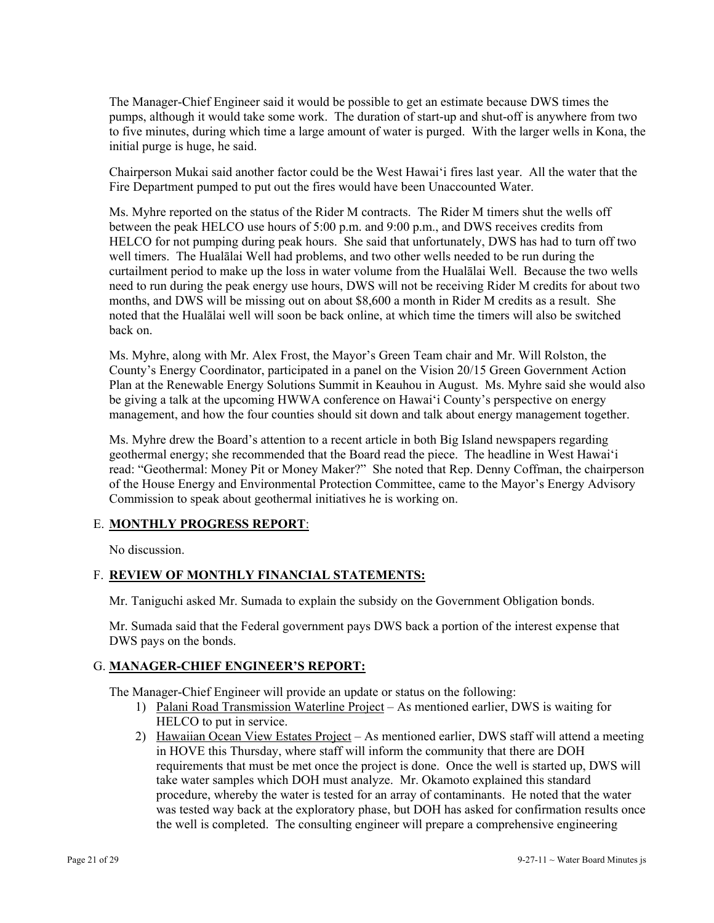The Manager-Chief Engineer said it would be possible to get an estimate because DWS times the pumps, although it would take some work. The duration of start-up and shut-off is anywhere from two to five minutes, during which time a large amount of water is purged. With the larger wells in Kona, the initial purge is huge, he said.

Chairperson Mukai said another factor could be the West Hawai'i fires last year. All the water that the Fire Department pumped to put out the fires would have been Unaccounted Water.

Ms. Myhre reported on the status of the Rider M contracts. The Rider M timers shut the wells off between the peak HELCO use hours of 5:00 p.m. and 9:00 p.m., and DWS receives credits from HELCO for not pumping during peak hours. She said that unfortunately, DWS has had to turn off two well timers. The Hualālai Well had problems, and two other wells needed to be run during the curtailment period to make up the loss in water volume from the Hualālai Well. Because the two wells need to run during the peak energy use hours, DWS will not be receiving Rider M credits for about two months, and DWS will be missing out on about \$8,600 a month in Rider M credits as a result. She noted that the Hualālai well will soon be back online, at which time the timers will also be switched back on.

Ms. Myhre, along with Mr. Alex Frost, the Mayor's Green Team chair and Mr. Will Rolston, the County's Energy Coordinator, participated in a panel on the Vision 20/15 Green Government Action Plan at the Renewable Energy Solutions Summit in Keauhou in August. Ms. Myhre said she would also be giving a talk at the upcoming HWWA conference on Hawai'i County's perspective on energy management, and how the four counties should sit down and talk about energy management together.

Ms. Myhre drew the Board's attention to a recent article in both Big Island newspapers regarding geothermal energy; she recommended that the Board read the piece. The headline in West Hawai'i read: "Geothermal: Money Pit or Money Maker?" She noted that Rep. Denny Coffman, the chairperson of the House Energy and Environmental Protection Committee, came to the Mayor's Energy Advisory Commission to speak about geothermal initiatives he is working on.

### E. **MONTHLY PROGRESS REPORT**:

No discussion.

### F. **REVIEW OF MONTHLY FINANCIAL STATEMENTS:**

Mr. Taniguchi asked Mr. Sumada to explain the subsidy on the Government Obligation bonds.

Mr. Sumada said that the Federal government pays DWS back a portion of the interest expense that DWS pays on the bonds.

### G. **MANAGER-CHIEF ENGINEER'S REPORT:**

The Manager-Chief Engineer will provide an update or status on the following:

- 1) Palani Road Transmission Waterline Project As mentioned earlier, DWS is waiting for HELCO to put in service.
- 2) Hawaiian Ocean View Estates Project As mentioned earlier, DWS staff will attend a meeting in HOVE this Thursday, where staff will inform the community that there are DOH requirements that must be met once the project is done. Once the well is started up, DWS will take water samples which DOH must analyze. Mr. Okamoto explained this standard procedure, whereby the water is tested for an array of contaminants. He noted that the water was tested way back at the exploratory phase, but DOH has asked for confirmation results once the well is completed. The consulting engineer will prepare a comprehensive engineering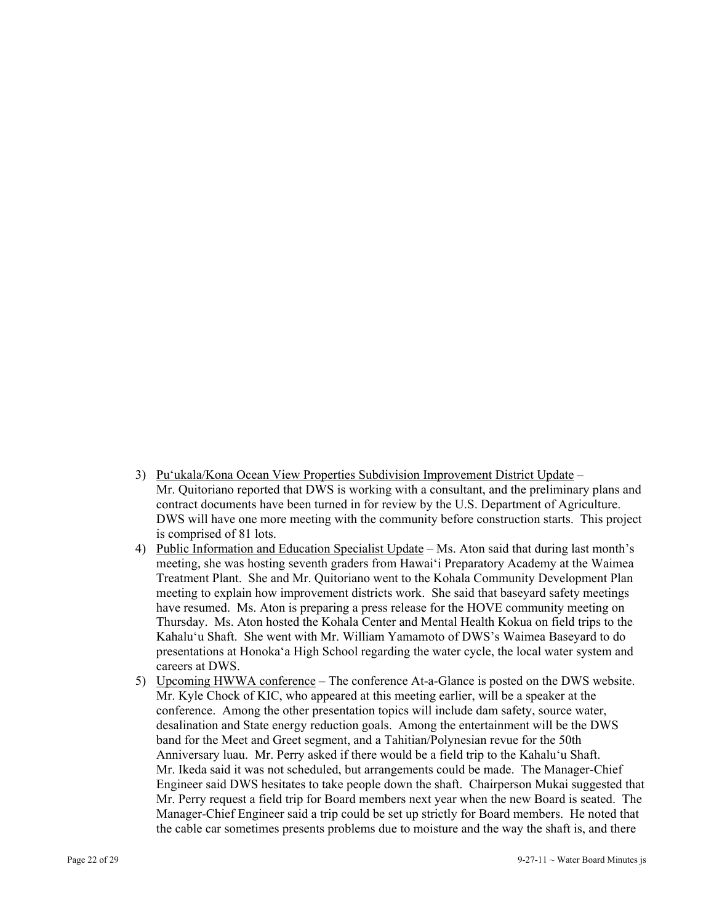- 3) Pu'ukala/Kona Ocean View Properties Subdivision Improvement District Update Mr. Quitoriano reported that DWS is working with a consultant, and the preliminary plans and contract documents have been turned in for review by the U.S. Department of Agriculture. DWS will have one more meeting with the community before construction starts. This project is comprised of 81 lots.
- 4) Public Information and Education Specialist Update Ms. Aton said that during last month's meeting, she was hosting seventh graders from Hawai'i Preparatory Academy at the Waimea Treatment Plant. She and Mr. Quitoriano went to the Kohala Community Development Plan meeting to explain how improvement districts work. She said that baseyard safety meetings have resumed. Ms. Aton is preparing a press release for the HOVE community meeting on Thursday. Ms. Aton hosted the Kohala Center and Mental Health Kokua on field trips to the Kahalu'u Shaft. She went with Mr. William Yamamoto of DWS's Waimea Baseyard to do presentations at Honoka'a High School regarding the water cycle, the local water system and careers at DWS.
- 5) Upcoming HWWA conference The conference At-a-Glance is posted on the DWS website. Mr. Kyle Chock of KIC, who appeared at this meeting earlier, will be a speaker at the conference. Among the other presentation topics will include dam safety, source water, desalination and State energy reduction goals. Among the entertainment will be the DWS band for the Meet and Greet segment, and a Tahitian/Polynesian revue for the 50th Anniversary luau. Mr. Perry asked if there would be a field trip to the Kahalu'u Shaft. Mr. Ikeda said it was not scheduled, but arrangements could be made. The Manager-Chief Engineer said DWS hesitates to take people down the shaft. Chairperson Mukai suggested that Mr. Perry request a field trip for Board members next year when the new Board is seated. The Manager-Chief Engineer said a trip could be set up strictly for Board members. He noted that the cable car sometimes presents problems due to moisture and the way the shaft is, and there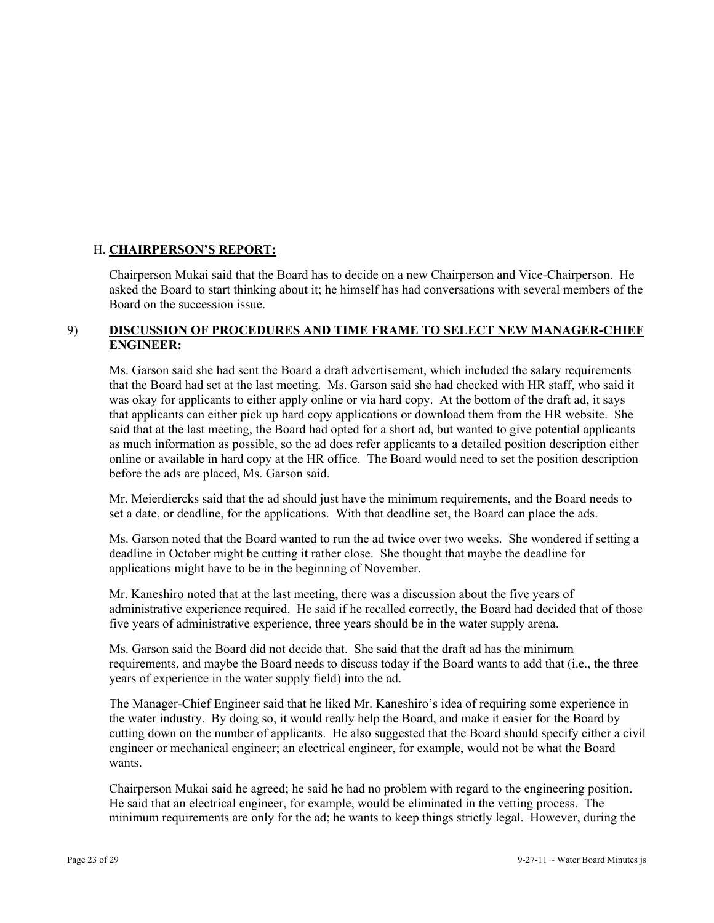## H. **CHAIRPERSON'S REPORT:**

Chairperson Mukai said that the Board has to decide on a new Chairperson and Vice-Chairperson. He asked the Board to start thinking about it; he himself has had conversations with several members of the Board on the succession issue.

## 9) **DISCUSSION OF PROCEDURES AND TIME FRAME TO SELECT NEW MANAGER-CHIEF ENGINEER:**

Ms. Garson said she had sent the Board a draft advertisement, which included the salary requirements that the Board had set at the last meeting. Ms. Garson said she had checked with HR staff, who said it was okay for applicants to either apply online or via hard copy. At the bottom of the draft ad, it says that applicants can either pick up hard copy applications or download them from the HR website. She said that at the last meeting, the Board had opted for a short ad, but wanted to give potential applicants as much information as possible, so the ad does refer applicants to a detailed position description either online or available in hard copy at the HR office. The Board would need to set the position description before the ads are placed, Ms. Garson said.

Mr. Meierdiercks said that the ad should just have the minimum requirements, and the Board needs to set a date, or deadline, for the applications. With that deadline set, the Board can place the ads.

Ms. Garson noted that the Board wanted to run the ad twice over two weeks. She wondered if setting a deadline in October might be cutting it rather close. She thought that maybe the deadline for applications might have to be in the beginning of November.

Mr. Kaneshiro noted that at the last meeting, there was a discussion about the five years of administrative experience required. He said if he recalled correctly, the Board had decided that of those five years of administrative experience, three years should be in the water supply arena.

Ms. Garson said the Board did not decide that. She said that the draft ad has the minimum requirements, and maybe the Board needs to discuss today if the Board wants to add that (i.e., the three years of experience in the water supply field) into the ad.

The Manager-Chief Engineer said that he liked Mr. Kaneshiro's idea of requiring some experience in the water industry. By doing so, it would really help the Board, and make it easier for the Board by cutting down on the number of applicants. He also suggested that the Board should specify either a civil engineer or mechanical engineer; an electrical engineer, for example, would not be what the Board wants.

Chairperson Mukai said he agreed; he said he had no problem with regard to the engineering position. He said that an electrical engineer, for example, would be eliminated in the vetting process. The minimum requirements are only for the ad; he wants to keep things strictly legal. However, during the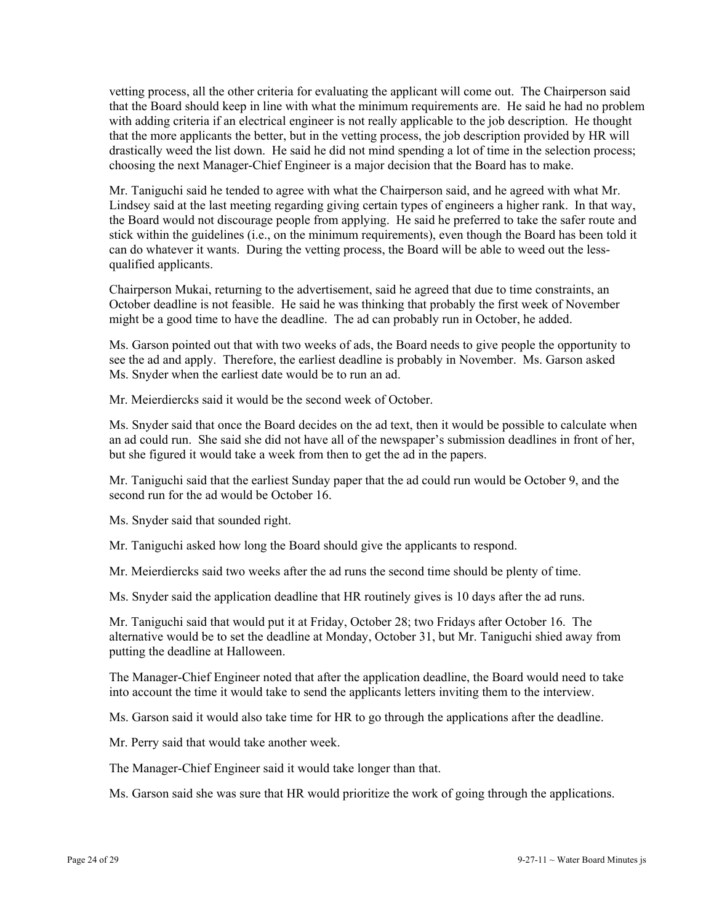vetting process, all the other criteria for evaluating the applicant will come out. The Chairperson said that the Board should keep in line with what the minimum requirements are. He said he had no problem with adding criteria if an electrical engineer is not really applicable to the job description. He thought that the more applicants the better, but in the vetting process, the job description provided by HR will drastically weed the list down. He said he did not mind spending a lot of time in the selection process; choosing the next Manager-Chief Engineer is a major decision that the Board has to make.

Mr. Taniguchi said he tended to agree with what the Chairperson said, and he agreed with what Mr. Lindsey said at the last meeting regarding giving certain types of engineers a higher rank. In that way, the Board would not discourage people from applying. He said he preferred to take the safer route and stick within the guidelines (i.e., on the minimum requirements), even though the Board has been told it can do whatever it wants. During the vetting process, the Board will be able to weed out the lessqualified applicants.

Chairperson Mukai, returning to the advertisement, said he agreed that due to time constraints, an October deadline is not feasible. He said he was thinking that probably the first week of November might be a good time to have the deadline. The ad can probably run in October, he added.

Ms. Garson pointed out that with two weeks of ads, the Board needs to give people the opportunity to see the ad and apply. Therefore, the earliest deadline is probably in November. Ms. Garson asked Ms. Snyder when the earliest date would be to run an ad.

Mr. Meierdiercks said it would be the second week of October.

Ms. Snyder said that once the Board decides on the ad text, then it would be possible to calculate when an ad could run. She said she did not have all of the newspaper's submission deadlines in front of her, but she figured it would take a week from then to get the ad in the papers.

Mr. Taniguchi said that the earliest Sunday paper that the ad could run would be October 9, and the second run for the ad would be October 16.

Ms. Snyder said that sounded right.

Mr. Taniguchi asked how long the Board should give the applicants to respond.

Mr. Meierdiercks said two weeks after the ad runs the second time should be plenty of time.

Ms. Snyder said the application deadline that HR routinely gives is 10 days after the ad runs.

Mr. Taniguchi said that would put it at Friday, October 28; two Fridays after October 16. The alternative would be to set the deadline at Monday, October 31, but Mr. Taniguchi shied away from putting the deadline at Halloween.

The Manager-Chief Engineer noted that after the application deadline, the Board would need to take into account the time it would take to send the applicants letters inviting them to the interview.

Ms. Garson said it would also take time for HR to go through the applications after the deadline.

Mr. Perry said that would take another week.

The Manager-Chief Engineer said it would take longer than that.

Ms. Garson said she was sure that HR would prioritize the work of going through the applications.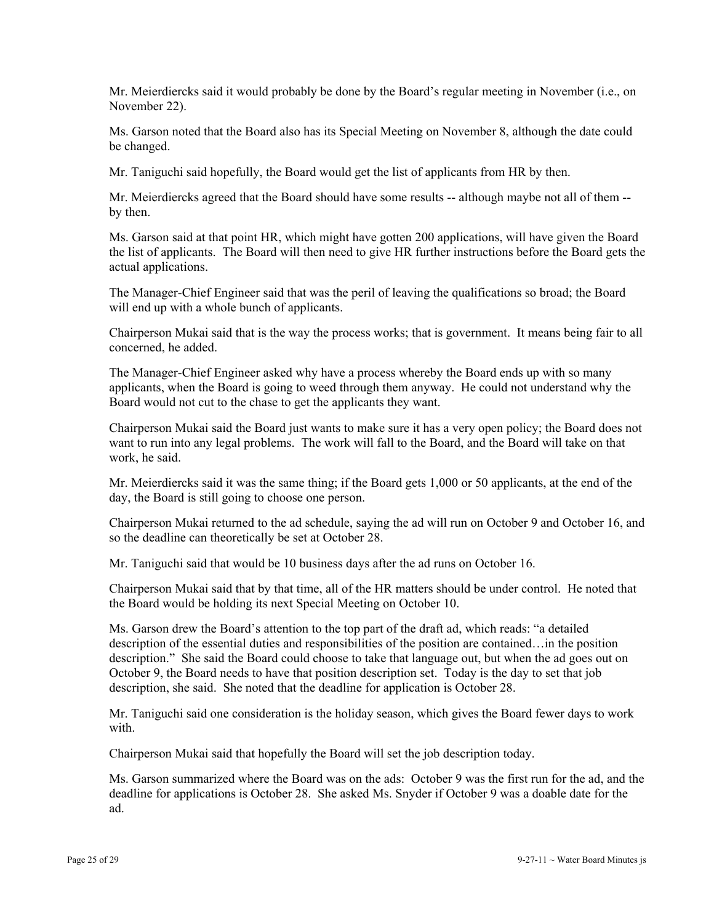Mr. Meierdiercks said it would probably be done by the Board's regular meeting in November (i.e., on November 22).

Ms. Garson noted that the Board also has its Special Meeting on November 8, although the date could be changed.

Mr. Taniguchi said hopefully, the Board would get the list of applicants from HR by then.

Mr. Meierdiercks agreed that the Board should have some results -- although maybe not all of them - by then.

Ms. Garson said at that point HR, which might have gotten 200 applications, will have given the Board the list of applicants. The Board will then need to give HR further instructions before the Board gets the actual applications.

The Manager-Chief Engineer said that was the peril of leaving the qualifications so broad; the Board will end up with a whole bunch of applicants.

Chairperson Mukai said that is the way the process works; that is government. It means being fair to all concerned, he added.

The Manager-Chief Engineer asked why have a process whereby the Board ends up with so many applicants, when the Board is going to weed through them anyway. He could not understand why the Board would not cut to the chase to get the applicants they want.

Chairperson Mukai said the Board just wants to make sure it has a very open policy; the Board does not want to run into any legal problems. The work will fall to the Board, and the Board will take on that work, he said.

Mr. Meierdiercks said it was the same thing; if the Board gets 1,000 or 50 applicants, at the end of the day, the Board is still going to choose one person.

Chairperson Mukai returned to the ad schedule, saying the ad will run on October 9 and October 16, and so the deadline can theoretically be set at October 28.

Mr. Taniguchi said that would be 10 business days after the ad runs on October 16.

Chairperson Mukai said that by that time, all of the HR matters should be under control. He noted that the Board would be holding its next Special Meeting on October 10.

Ms. Garson drew the Board's attention to the top part of the draft ad, which reads: "a detailed description of the essential duties and responsibilities of the position are contained…in the position description." She said the Board could choose to take that language out, but when the ad goes out on October 9, the Board needs to have that position description set. Today is the day to set that job description, she said. She noted that the deadline for application is October 28.

Mr. Taniguchi said one consideration is the holiday season, which gives the Board fewer days to work with.

Chairperson Mukai said that hopefully the Board will set the job description today.

Ms. Garson summarized where the Board was on the ads: October 9 was the first run for the ad, and the deadline for applications is October 28. She asked Ms. Snyder if October 9 was a doable date for the ad.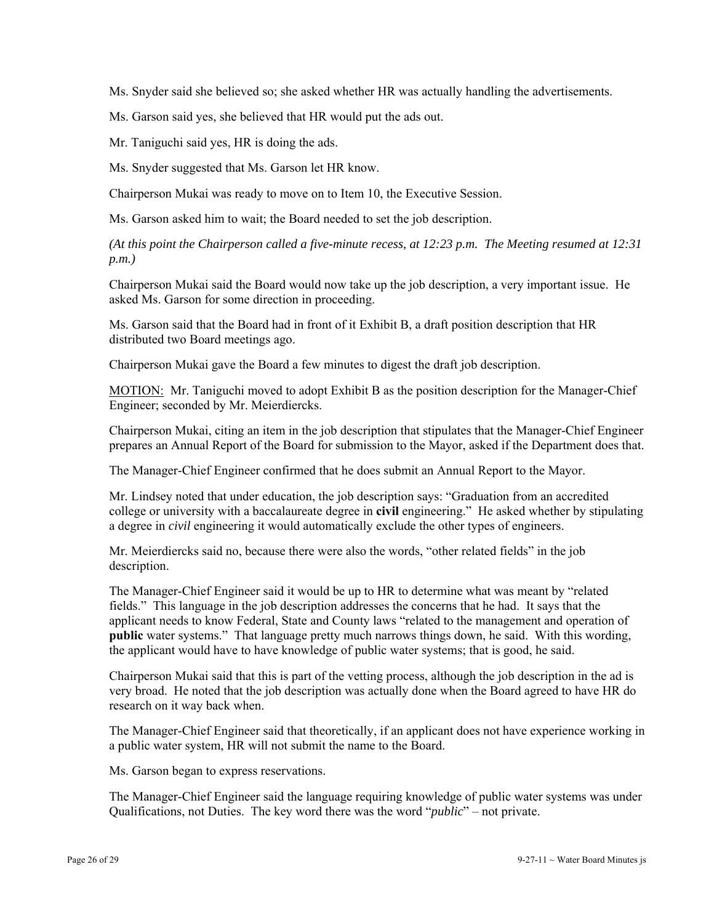Ms. Snyder said she believed so; she asked whether HR was actually handling the advertisements.

Ms. Garson said yes, she believed that HR would put the ads out.

Mr. Taniguchi said yes, HR is doing the ads.

Ms. Snyder suggested that Ms. Garson let HR know.

Chairperson Mukai was ready to move on to Item 10, the Executive Session.

Ms. Garson asked him to wait; the Board needed to set the job description.

*(At this point the Chairperson called a five-minute recess, at 12:23 p.m. The Meeting resumed at 12:31 p.m.)* 

Chairperson Mukai said the Board would now take up the job description, a very important issue. He asked Ms. Garson for some direction in proceeding.

Ms. Garson said that the Board had in front of it Exhibit B, a draft position description that HR distributed two Board meetings ago.

Chairperson Mukai gave the Board a few minutes to digest the draft job description.

MOTION: Mr. Taniguchi moved to adopt Exhibit B as the position description for the Manager-Chief Engineer; seconded by Mr. Meierdiercks.

Chairperson Mukai, citing an item in the job description that stipulates that the Manager-Chief Engineer prepares an Annual Report of the Board for submission to the Mayor, asked if the Department does that.

The Manager-Chief Engineer confirmed that he does submit an Annual Report to the Mayor.

Mr. Lindsey noted that under education, the job description says: "Graduation from an accredited college or university with a baccalaureate degree in **civil** engineering." He asked whether by stipulating a degree in *civil* engineering it would automatically exclude the other types of engineers.

Mr. Meierdiercks said no, because there were also the words, "other related fields" in the job description.

The Manager-Chief Engineer said it would be up to HR to determine what was meant by "related fields." This language in the job description addresses the concerns that he had. It says that the applicant needs to know Federal, State and County laws "related to the management and operation of **public** water systems." That language pretty much narrows things down, he said. With this wording, the applicant would have to have knowledge of public water systems; that is good, he said.

Chairperson Mukai said that this is part of the vetting process, although the job description in the ad is very broad. He noted that the job description was actually done when the Board agreed to have HR do research on it way back when.

The Manager-Chief Engineer said that theoretically, if an applicant does not have experience working in a public water system, HR will not submit the name to the Board.

Ms. Garson began to express reservations.

The Manager-Chief Engineer said the language requiring knowledge of public water systems was under Qualifications, not Duties. The key word there was the word "*public*" – not private.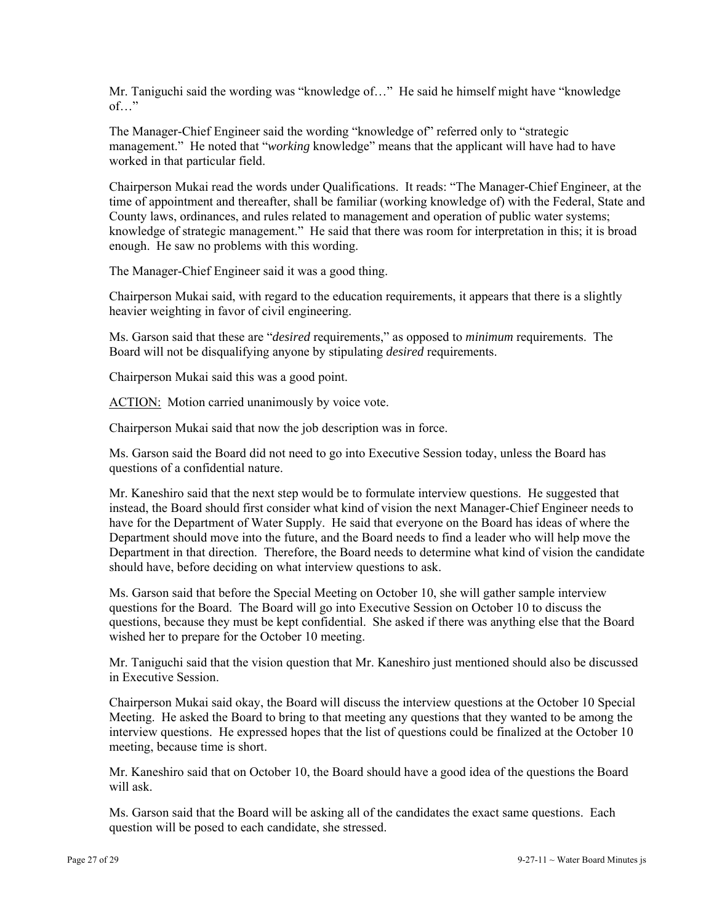Mr. Taniguchi said the wording was "knowledge of…" He said he himself might have "knowledge of…"

The Manager-Chief Engineer said the wording "knowledge of" referred only to "strategic management." He noted that "*working* knowledge" means that the applicant will have had to have worked in that particular field.

Chairperson Mukai read the words under Qualifications. It reads: "The Manager-Chief Engineer, at the time of appointment and thereafter, shall be familiar (working knowledge of) with the Federal, State and County laws, ordinances, and rules related to management and operation of public water systems; knowledge of strategic management." He said that there was room for interpretation in this; it is broad enough. He saw no problems with this wording.

The Manager-Chief Engineer said it was a good thing.

Chairperson Mukai said, with regard to the education requirements, it appears that there is a slightly heavier weighting in favor of civil engineering.

Ms. Garson said that these are "*desired* requirements," as opposed to *minimum* requirements. The Board will not be disqualifying anyone by stipulating *desired* requirements.

Chairperson Mukai said this was a good point.

ACTION: Motion carried unanimously by voice vote.

Chairperson Mukai said that now the job description was in force.

Ms. Garson said the Board did not need to go into Executive Session today, unless the Board has questions of a confidential nature.

Mr. Kaneshiro said that the next step would be to formulate interview questions. He suggested that instead, the Board should first consider what kind of vision the next Manager-Chief Engineer needs to have for the Department of Water Supply. He said that everyone on the Board has ideas of where the Department should move into the future, and the Board needs to find a leader who will help move the Department in that direction. Therefore, the Board needs to determine what kind of vision the candidate should have, before deciding on what interview questions to ask.

Ms. Garson said that before the Special Meeting on October 10, she will gather sample interview questions for the Board. The Board will go into Executive Session on October 10 to discuss the questions, because they must be kept confidential. She asked if there was anything else that the Board wished her to prepare for the October 10 meeting.

Mr. Taniguchi said that the vision question that Mr. Kaneshiro just mentioned should also be discussed in Executive Session.

Chairperson Mukai said okay, the Board will discuss the interview questions at the October 10 Special Meeting. He asked the Board to bring to that meeting any questions that they wanted to be among the interview questions. He expressed hopes that the list of questions could be finalized at the October 10 meeting, because time is short.

Mr. Kaneshiro said that on October 10, the Board should have a good idea of the questions the Board will ask.

Ms. Garson said that the Board will be asking all of the candidates the exact same questions. Each question will be posed to each candidate, she stressed.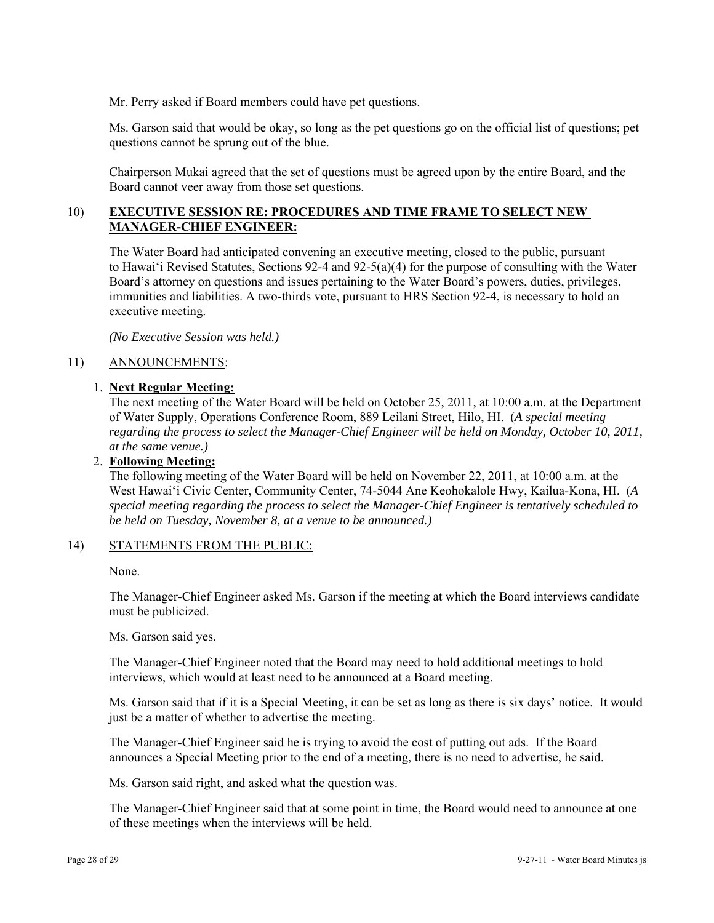Mr. Perry asked if Board members could have pet questions.

Ms. Garson said that would be okay, so long as the pet questions go on the official list of questions; pet questions cannot be sprung out of the blue.

Chairperson Mukai agreed that the set of questions must be agreed upon by the entire Board, and the Board cannot veer away from those set questions.

### 10) **EXECUTIVE SESSION RE: PROCEDURES AND TIME FRAME TO SELECT NEW MANAGER-CHIEF ENGINEER:**

The Water Board had anticipated convening an executive meeting, closed to the public, pursuant to Hawai'i Revised Statutes, Sections 92-4 and 92-5(a)(4) for the purpose of consulting with the Water Board's attorney on questions and issues pertaining to the Water Board's powers, duties, privileges, immunities and liabilities. A two-thirds vote, pursuant to HRS Section 92-4, is necessary to hold an executive meeting.

*(No Executive Session was held.)* 

### 11) ANNOUNCEMENTS:

### 1. **Next Regular Meeting:**

The next meeting of the Water Board will be held on October 25, 2011, at 10:00 a.m. at the Department of Water Supply, Operations Conference Room, 889 Leilani Street, Hilo, HI. (*A special meeting regarding the process to select the Manager-Chief Engineer will be held on Monday, October 10, 2011, at the same venue.)*

## 2. **Following Meeting:**

The following meeting of the Water Board will be held on November 22, 2011, at 10:00 a.m. at the West Hawai'i Civic Center, Community Center, 74-5044 Ane Keohokalole Hwy, Kailua-Kona, HI. (*A special meeting regarding the process to select the Manager-Chief Engineer is tentatively scheduled to be held on Tuesday, November 8, at a venue to be announced.)*

#### 14) STATEMENTS FROM THE PUBLIC:

None.

The Manager-Chief Engineer asked Ms. Garson if the meeting at which the Board interviews candidate must be publicized.

Ms. Garson said yes.

The Manager-Chief Engineer noted that the Board may need to hold additional meetings to hold interviews, which would at least need to be announced at a Board meeting.

Ms. Garson said that if it is a Special Meeting, it can be set as long as there is six days' notice. It would just be a matter of whether to advertise the meeting.

The Manager-Chief Engineer said he is trying to avoid the cost of putting out ads. If the Board announces a Special Meeting prior to the end of a meeting, there is no need to advertise, he said.

Ms. Garson said right, and asked what the question was.

The Manager-Chief Engineer said that at some point in time, the Board would need to announce at one of these meetings when the interviews will be held.